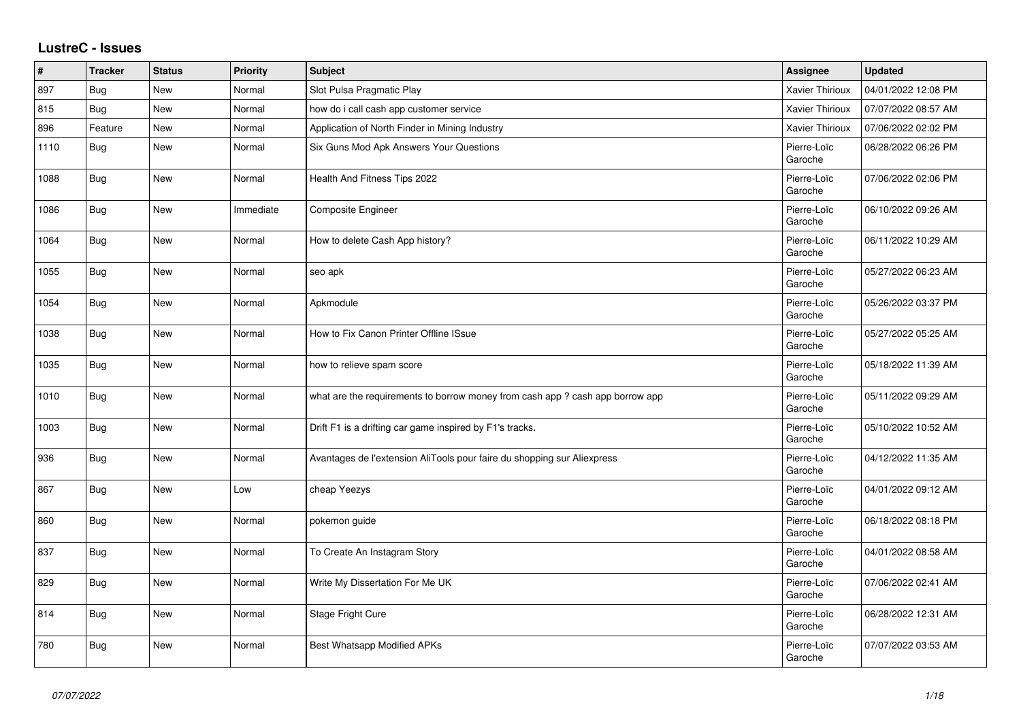## **LustreC - Issues**

| #    | <b>Tracker</b> | <b>Status</b> | <b>Priority</b> | <b>Subject</b>                                                                | Assignee               | <b>Updated</b>      |
|------|----------------|---------------|-----------------|-------------------------------------------------------------------------------|------------------------|---------------------|
| 897  | Bug            | New           | Normal          | Slot Pulsa Pragmatic Play                                                     | Xavier Thirioux        | 04/01/2022 12:08 PM |
| 815  | Bug            | New           | Normal          | how do i call cash app customer service                                       | Xavier Thirioux        | 07/07/2022 08:57 AM |
| 896  | Feature        | New           | Normal          | Application of North Finder in Mining Industry                                | Xavier Thirioux        | 07/06/2022 02:02 PM |
| 1110 | <b>Bug</b>     | New           | Normal          | Six Guns Mod Apk Answers Your Questions                                       | Pierre-Loïc<br>Garoche | 06/28/2022 06:26 PM |
| 1088 | <b>Bug</b>     | New           | Normal          | Health And Fitness Tips 2022                                                  | Pierre-Loïc<br>Garoche | 07/06/2022 02:06 PM |
| 1086 | <b>Bug</b>     | New           | Immediate       | Composite Engineer                                                            | Pierre-Loïc<br>Garoche | 06/10/2022 09:26 AM |
| 1064 | Bug            | New           | Normal          | How to delete Cash App history?                                               | Pierre-Loïc<br>Garoche | 06/11/2022 10:29 AM |
| 1055 | Bug            | <b>New</b>    | Normal          | seo apk                                                                       | Pierre-Loïc<br>Garoche | 05/27/2022 06:23 AM |
| 1054 | Bug            | New           | Normal          | Apkmodule                                                                     | Pierre-Loïc<br>Garoche | 05/26/2022 03:37 PM |
| 1038 | Bug            | New           | Normal          | How to Fix Canon Printer Offline ISsue                                        | Pierre-Loïc<br>Garoche | 05/27/2022 05:25 AM |
| 1035 | <b>Bug</b>     | New           | Normal          | how to relieve spam score                                                     | Pierre-Loïc<br>Garoche | 05/18/2022 11:39 AM |
| 1010 | Bug            | New           | Normal          | what are the requirements to borrow money from cash app ? cash app borrow app | Pierre-Loïc<br>Garoche | 05/11/2022 09:29 AM |
| 1003 | <b>Bug</b>     | New           | Normal          | Drift F1 is a drifting car game inspired by F1's tracks.                      | Pierre-Loïc<br>Garoche | 05/10/2022 10:52 AM |
| 936  | <b>Bug</b>     | New           | Normal          | Avantages de l'extension AliTools pour faire du shopping sur Aliexpress       | Pierre-Loïc<br>Garoche | 04/12/2022 11:35 AM |
| 867  | <b>Bug</b>     | New           | Low             | cheap Yeezys                                                                  | Pierre-Loïc<br>Garoche | 04/01/2022 09:12 AM |
| 860  | Bug            | New           | Normal          | pokemon guide                                                                 | Pierre-Loïc<br>Garoche | 06/18/2022 08:18 PM |
| 837  | Bug            | New           | Normal          | To Create An Instagram Story                                                  | Pierre-Loïc<br>Garoche | 04/01/2022 08:58 AM |
| 829  | <b>Bug</b>     | New           | Normal          | Write My Dissertation For Me UK                                               | Pierre-Loïc<br>Garoche | 07/06/2022 02:41 AM |
| 814  | Bug            | New           | Normal          | Stage Fright Cure                                                             | Pierre-Loïc<br>Garoche | 06/28/2022 12:31 AM |
| 780  | <b>Bug</b>     | New           | Normal          | <b>Best Whatsapp Modified APKs</b>                                            | Pierre-Loïc<br>Garoche | 07/07/2022 03:53 AM |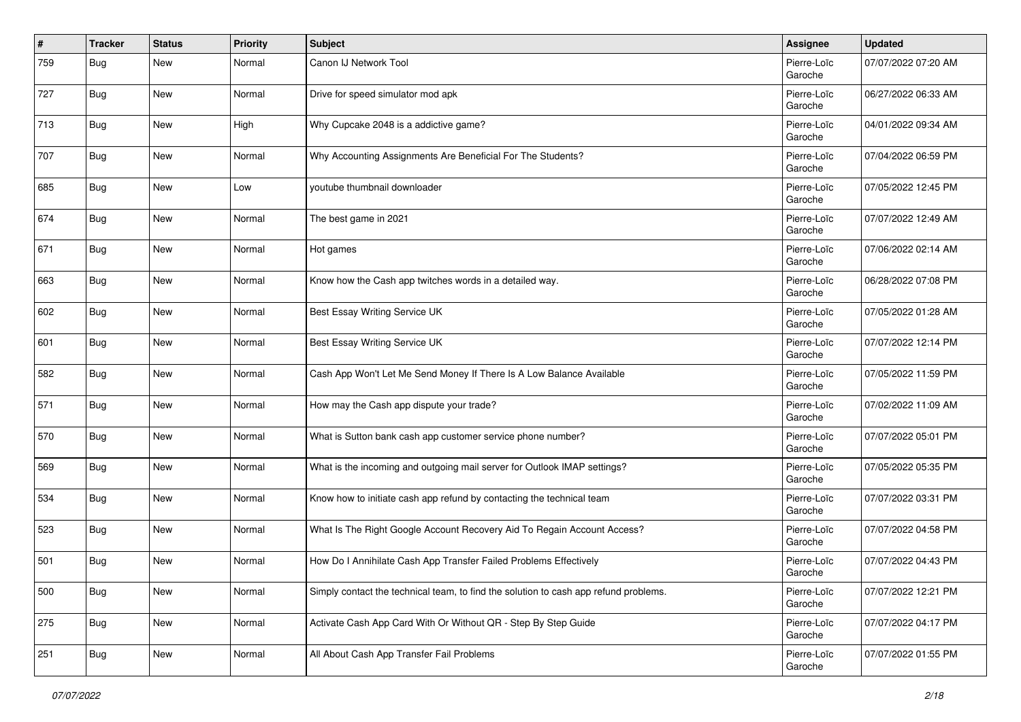| #   | <b>Tracker</b> | <b>Status</b> | <b>Priority</b> | <b>Subject</b>                                                                       | Assignee               | <b>Updated</b>      |
|-----|----------------|---------------|-----------------|--------------------------------------------------------------------------------------|------------------------|---------------------|
| 759 | Bug            | New           | Normal          | Canon IJ Network Tool                                                                | Pierre-Loïc<br>Garoche | 07/07/2022 07:20 AM |
| 727 | Bug            | <b>New</b>    | Normal          | Drive for speed simulator mod apk                                                    | Pierre-Loïc<br>Garoche | 06/27/2022 06:33 AM |
| 713 | <b>Bug</b>     | <b>New</b>    | High            | Why Cupcake 2048 is a addictive game?                                                | Pierre-Loïc<br>Garoche | 04/01/2022 09:34 AM |
| 707 | Bug            | New           | Normal          | Why Accounting Assignments Are Beneficial For The Students?                          | Pierre-Loïc<br>Garoche | 07/04/2022 06:59 PM |
| 685 | Bug            | <b>New</b>    | Low             | youtube thumbnail downloader                                                         | Pierre-Loïc<br>Garoche | 07/05/2022 12:45 PM |
| 674 | <b>Bug</b>     | New           | Normal          | The best game in 2021                                                                | Pierre-Loïc<br>Garoche | 07/07/2022 12:49 AM |
| 671 | Bug            | <b>New</b>    | Normal          | Hot games                                                                            | Pierre-Loïc<br>Garoche | 07/06/2022 02:14 AM |
| 663 | Bug            | New           | Normal          | Know how the Cash app twitches words in a detailed way.                              | Pierre-Loïc<br>Garoche | 06/28/2022 07:08 PM |
| 602 | <b>Bug</b>     | <b>New</b>    | Normal          | Best Essay Writing Service UK                                                        | Pierre-Loïc<br>Garoche | 07/05/2022 01:28 AM |
| 601 | <b>Bug</b>     | <b>New</b>    | Normal          | Best Essay Writing Service UK                                                        | Pierre-Loïc<br>Garoche | 07/07/2022 12:14 PM |
| 582 | <b>Bug</b>     | <b>New</b>    | Normal          | Cash App Won't Let Me Send Money If There Is A Low Balance Available                 | Pierre-Loïc<br>Garoche | 07/05/2022 11:59 PM |
| 571 | Bug            | <b>New</b>    | Normal          | How may the Cash app dispute your trade?                                             | Pierre-Loïc<br>Garoche | 07/02/2022 11:09 AM |
| 570 | <b>Bug</b>     | <b>New</b>    | Normal          | What is Sutton bank cash app customer service phone number?                          | Pierre-Loïc<br>Garoche | 07/07/2022 05:01 PM |
| 569 | <b>Bug</b>     | New           | Normal          | What is the incoming and outgoing mail server for Outlook IMAP settings?             | Pierre-Loïc<br>Garoche | 07/05/2022 05:35 PM |
| 534 | Bug            | New           | Normal          | Know how to initiate cash app refund by contacting the technical team                | Pierre-Loïc<br>Garoche | 07/07/2022 03:31 PM |
| 523 | <b>Bug</b>     | <b>New</b>    | Normal          | What Is The Right Google Account Recovery Aid To Regain Account Access?              | Pierre-Loïc<br>Garoche | 07/07/2022 04:58 PM |
| 501 | <b>Bug</b>     | <b>New</b>    | Normal          | How Do I Annihilate Cash App Transfer Failed Problems Effectively                    | Pierre-Loïc<br>Garoche | 07/07/2022 04:43 PM |
| 500 | <b>Bug</b>     | New           | Normal          | Simply contact the technical team, to find the solution to cash app refund problems. | Pierre-Loïc<br>Garoche | 07/07/2022 12:21 PM |
| 275 | <b>Bug</b>     | New           | Normal          | Activate Cash App Card With Or Without QR - Step By Step Guide                       | Pierre-Loïc<br>Garoche | 07/07/2022 04:17 PM |
| 251 | <b>Bug</b>     | New           | Normal          | All About Cash App Transfer Fail Problems                                            | Pierre-Loïc<br>Garoche | 07/07/2022 01:55 PM |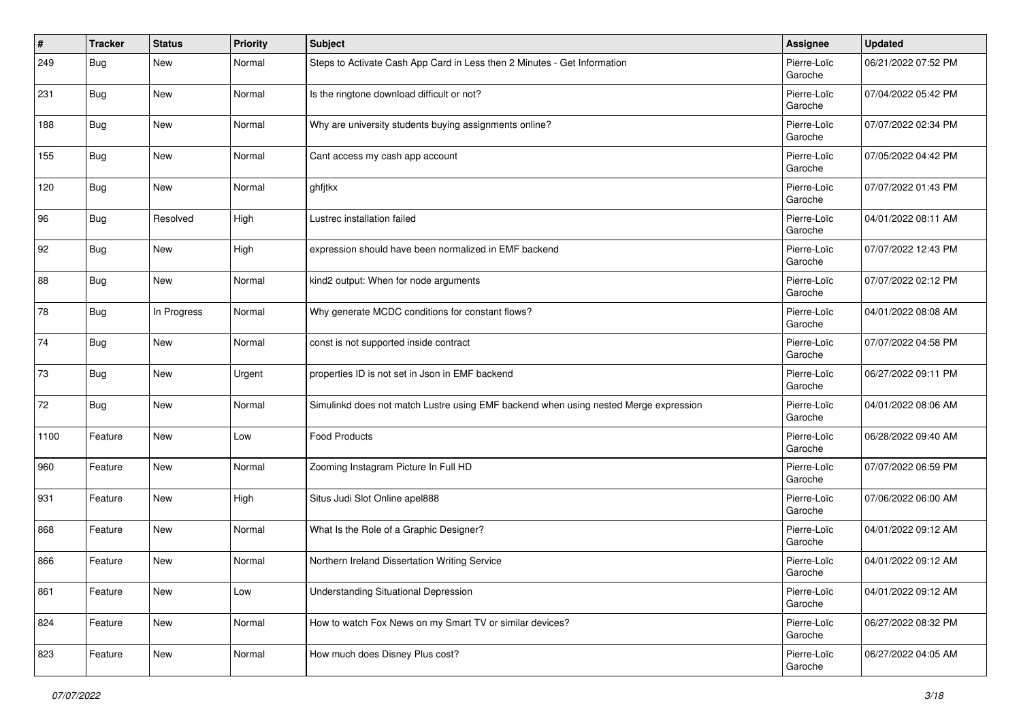| $\#$ | <b>Tracker</b> | <b>Status</b> | <b>Priority</b> | <b>Subject</b>                                                                       | Assignee               | <b>Updated</b>      |
|------|----------------|---------------|-----------------|--------------------------------------------------------------------------------------|------------------------|---------------------|
| 249  | Bug            | New           | Normal          | Steps to Activate Cash App Card in Less then 2 Minutes - Get Information             | Pierre-Loïc<br>Garoche | 06/21/2022 07:52 PM |
| 231  | Bug            | New           | Normal          | Is the ringtone download difficult or not?                                           | Pierre-Loïc<br>Garoche | 07/04/2022 05:42 PM |
| 188  | Bug            | <b>New</b>    | Normal          | Why are university students buying assignments online?                               | Pierre-Loïc<br>Garoche | 07/07/2022 02:34 PM |
| 155  | Bug            | New           | Normal          | Cant access my cash app account                                                      | Pierre-Loïc<br>Garoche | 07/05/2022 04:42 PM |
| 120  | Bug            | New           | Normal          | ghfjtkx                                                                              | Pierre-Loïc<br>Garoche | 07/07/2022 01:43 PM |
| 96   | Bug            | Resolved      | High            | Lustrec installation failed                                                          | Pierre-Loïc<br>Garoche | 04/01/2022 08:11 AM |
| 92   | Bug            | <b>New</b>    | High            | expression should have been normalized in EMF backend                                | Pierre-Loïc<br>Garoche | 07/07/2022 12:43 PM |
| 88   | Bug            | New           | Normal          | kind2 output: When for node arguments                                                | Pierre-Loïc<br>Garoche | 07/07/2022 02:12 PM |
| 78   | Bug            | In Progress   | Normal          | Why generate MCDC conditions for constant flows?                                     | Pierre-Loïc<br>Garoche | 04/01/2022 08:08 AM |
| 74   | Bug            | New           | Normal          | const is not supported inside contract                                               | Pierre-Loïc<br>Garoche | 07/07/2022 04:58 PM |
| 73   | Bug            | New           | Urgent          | properties ID is not set in Json in EMF backend                                      | Pierre-Loïc<br>Garoche | 06/27/2022 09:11 PM |
| 72   | Bug            | New           | Normal          | Simulinkd does not match Lustre using EMF backend when using nested Merge expression | Pierre-Loïc<br>Garoche | 04/01/2022 08:06 AM |
| 1100 | Feature        | New           | Low             | <b>Food Products</b>                                                                 | Pierre-Loïc<br>Garoche | 06/28/2022 09:40 AM |
| 960  | Feature        | New           | Normal          | Zooming Instagram Picture In Full HD                                                 | Pierre-Loïc<br>Garoche | 07/07/2022 06:59 PM |
| 931  | Feature        | <b>New</b>    | High            | Situs Judi Slot Online apel888                                                       | Pierre-Loïc<br>Garoche | 07/06/2022 06:00 AM |
| 868  | Feature        | New           | Normal          | What Is the Role of a Graphic Designer?                                              | Pierre-Loïc<br>Garoche | 04/01/2022 09:12 AM |
| 866  | Feature        | New           | Normal          | Northern Ireland Dissertation Writing Service                                        | Pierre-Loïc<br>Garoche | 04/01/2022 09:12 AM |
| 861  | Feature        | New           | Low             | <b>Understanding Situational Depression</b>                                          | Pierre-Loïc<br>Garoche | 04/01/2022 09:12 AM |
| 824  | Feature        | New           | Normal          | How to watch Fox News on my Smart TV or similar devices?                             | Pierre-Loïc<br>Garoche | 06/27/2022 08:32 PM |
| 823  | Feature        | New           | Normal          | How much does Disney Plus cost?                                                      | Pierre-Loïc<br>Garoche | 06/27/2022 04:05 AM |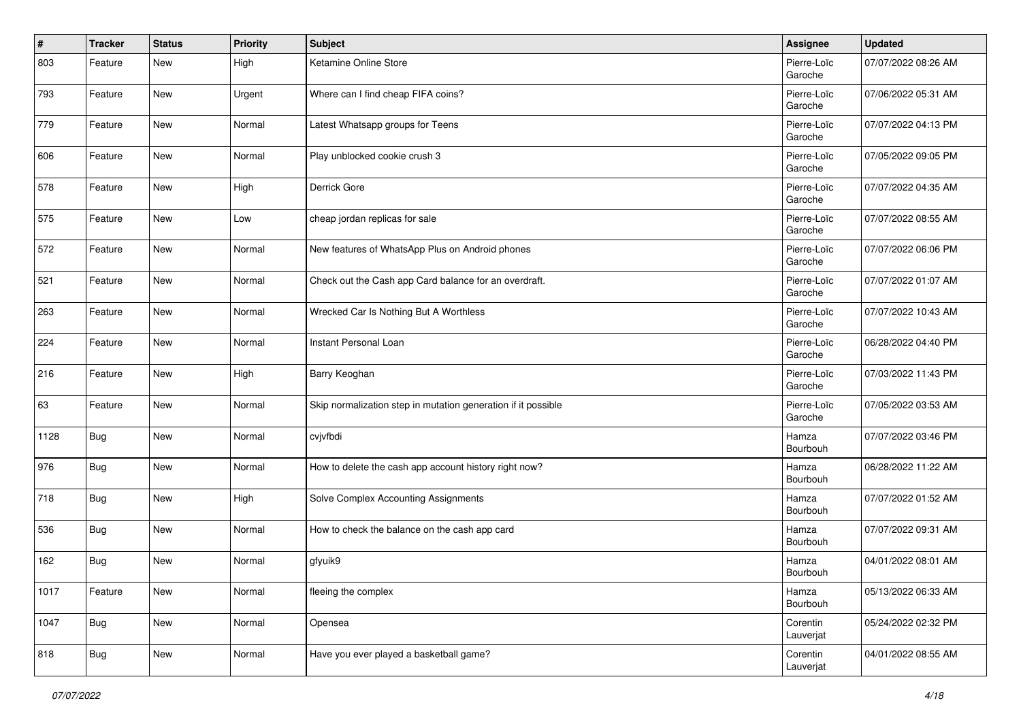| #    | <b>Tracker</b> | <b>Status</b> | <b>Priority</b> | <b>Subject</b>                                                | Assignee               | <b>Updated</b>      |
|------|----------------|---------------|-----------------|---------------------------------------------------------------|------------------------|---------------------|
| 803  | Feature        | New           | High            | Ketamine Online Store                                         | Pierre-Loïc<br>Garoche | 07/07/2022 08:26 AM |
| 793  | Feature        | New           | Urgent          | Where can I find cheap FIFA coins?                            | Pierre-Loïc<br>Garoche | 07/06/2022 05:31 AM |
| 779  | Feature        | New           | Normal          | Latest Whatsapp groups for Teens                              | Pierre-Loïc<br>Garoche | 07/07/2022 04:13 PM |
| 606  | Feature        | New           | Normal          | Play unblocked cookie crush 3                                 | Pierre-Loïc<br>Garoche | 07/05/2022 09:05 PM |
| 578  | Feature        | New           | High            | Derrick Gore                                                  | Pierre-Loïc<br>Garoche | 07/07/2022 04:35 AM |
| 575  | Feature        | New           | Low             | cheap jordan replicas for sale                                | Pierre-Loïc<br>Garoche | 07/07/2022 08:55 AM |
| 572  | Feature        | New           | Normal          | New features of WhatsApp Plus on Android phones               | Pierre-Loïc<br>Garoche | 07/07/2022 06:06 PM |
| 521  | Feature        | New           | Normal          | Check out the Cash app Card balance for an overdraft.         | Pierre-Loïc<br>Garoche | 07/07/2022 01:07 AM |
| 263  | Feature        | New           | Normal          | Wrecked Car Is Nothing But A Worthless                        | Pierre-Loïc<br>Garoche | 07/07/2022 10:43 AM |
| 224  | Feature        | New           | Normal          | Instant Personal Loan                                         | Pierre-Loïc<br>Garoche | 06/28/2022 04:40 PM |
| 216  | Feature        | New           | High            | Barry Keoghan                                                 | Pierre-Loïc<br>Garoche | 07/03/2022 11:43 PM |
| 63   | Feature        | New           | Normal          | Skip normalization step in mutation generation if it possible | Pierre-Loïc<br>Garoche | 07/05/2022 03:53 AM |
| 1128 | <b>Bug</b>     | New           | Normal          | cvjvfbdi                                                      | Hamza<br>Bourbouh      | 07/07/2022 03:46 PM |
| 976  | Bug            | New           | Normal          | How to delete the cash app account history right now?         | Hamza<br>Bourbouh      | 06/28/2022 11:22 AM |
| 718  | <b>Bug</b>     | New           | High            | Solve Complex Accounting Assignments                          | Hamza<br>Bourbouh      | 07/07/2022 01:52 AM |
| 536  | <b>Bug</b>     | New           | Normal          | How to check the balance on the cash app card                 | Hamza<br>Bourbouh      | 07/07/2022 09:31 AM |
| 162  | Bug            | New           | Normal          | gfyuik9                                                       | Hamza<br>Bourbouh      | 04/01/2022 08:01 AM |
| 1017 | Feature        | New           | Normal          | fleeing the complex                                           | Hamza<br>Bourbouh      | 05/13/2022 06:33 AM |
| 1047 | <b>Bug</b>     | New           | Normal          | Opensea                                                       | Corentin<br>Lauverjat  | 05/24/2022 02:32 PM |
| 818  | <b>Bug</b>     | New           | Normal          | Have you ever played a basketball game?                       | Corentin<br>Lauverjat  | 04/01/2022 08:55 AM |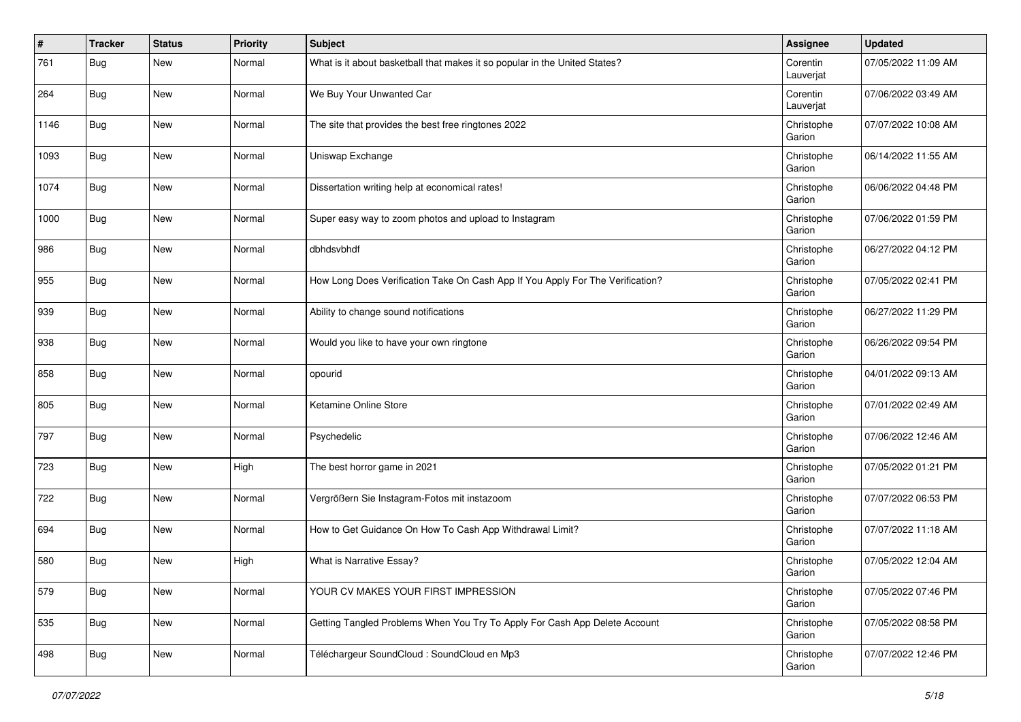| #    | <b>Tracker</b> | <b>Status</b> | <b>Priority</b> | <b>Subject</b>                                                                 | Assignee              | <b>Updated</b>      |
|------|----------------|---------------|-----------------|--------------------------------------------------------------------------------|-----------------------|---------------------|
| 761  | Bug            | <b>New</b>    | Normal          | What is it about basketball that makes it so popular in the United States?     | Corentin<br>Lauverjat | 07/05/2022 11:09 AM |
| 264  | Bug            | <b>New</b>    | Normal          | We Buy Your Unwanted Car                                                       | Corentin<br>Lauverjat | 07/06/2022 03:49 AM |
| 1146 | <b>Bug</b>     | <b>New</b>    | Normal          | The site that provides the best free ringtones 2022                            | Christophe<br>Garion  | 07/07/2022 10:08 AM |
| 1093 | Bug            | <b>New</b>    | Normal          | Uniswap Exchange                                                               | Christophe<br>Garion  | 06/14/2022 11:55 AM |
| 1074 | Bug            | <b>New</b>    | Normal          | Dissertation writing help at economical rates!                                 | Christophe<br>Garion  | 06/06/2022 04:48 PM |
| 1000 | <b>Bug</b>     | New           | Normal          | Super easy way to zoom photos and upload to Instagram                          | Christophe<br>Garion  | 07/06/2022 01:59 PM |
| 986  | Bug            | <b>New</b>    | Normal          | dbhdsvbhdf                                                                     | Christophe<br>Garion  | 06/27/2022 04:12 PM |
| 955  | Bug            | <b>New</b>    | Normal          | How Long Does Verification Take On Cash App If You Apply For The Verification? | Christophe<br>Garion  | 07/05/2022 02:41 PM |
| 939  | Bug            | <b>New</b>    | Normal          | Ability to change sound notifications                                          | Christophe<br>Garion  | 06/27/2022 11:29 PM |
| 938  | Bug            | <b>New</b>    | Normal          | Would you like to have your own ringtone                                       | Christophe<br>Garion  | 06/26/2022 09:54 PM |
| 858  | Bug            | <b>New</b>    | Normal          | opourid                                                                        | Christophe<br>Garion  | 04/01/2022 09:13 AM |
| 805  | Bug            | <b>New</b>    | Normal          | Ketamine Online Store                                                          | Christophe<br>Garion  | 07/01/2022 02:49 AM |
| 797  | Bug            | <b>New</b>    | Normal          | Psychedelic                                                                    | Christophe<br>Garion  | 07/06/2022 12:46 AM |
| 723  | Bug            | <b>New</b>    | High            | The best horror game in 2021                                                   | Christophe<br>Garion  | 07/05/2022 01:21 PM |
| 722  | Bug            | <b>New</b>    | Normal          | Vergrößern Sie Instagram-Fotos mit instazoom                                   | Christophe<br>Garion  | 07/07/2022 06:53 PM |
| 694  | Bug            | <b>New</b>    | Normal          | How to Get Guidance On How To Cash App Withdrawal Limit?                       | Christophe<br>Garion  | 07/07/2022 11:18 AM |
| 580  | Bug            | <b>New</b>    | High            | What is Narrative Essay?                                                       | Christophe<br>Garion  | 07/05/2022 12:04 AM |
| 579  | <b>Bug</b>     | New           | Normal          | YOUR CV MAKES YOUR FIRST IMPRESSION                                            | Christophe<br>Garion  | 07/05/2022 07:46 PM |
| 535  | <b>Bug</b>     | New           | Normal          | Getting Tangled Problems When You Try To Apply For Cash App Delete Account     | Christophe<br>Garion  | 07/05/2022 08:58 PM |
| 498  | Bug            | New           | Normal          | Téléchargeur SoundCloud : SoundCloud en Mp3                                    | Christophe<br>Garion  | 07/07/2022 12:46 PM |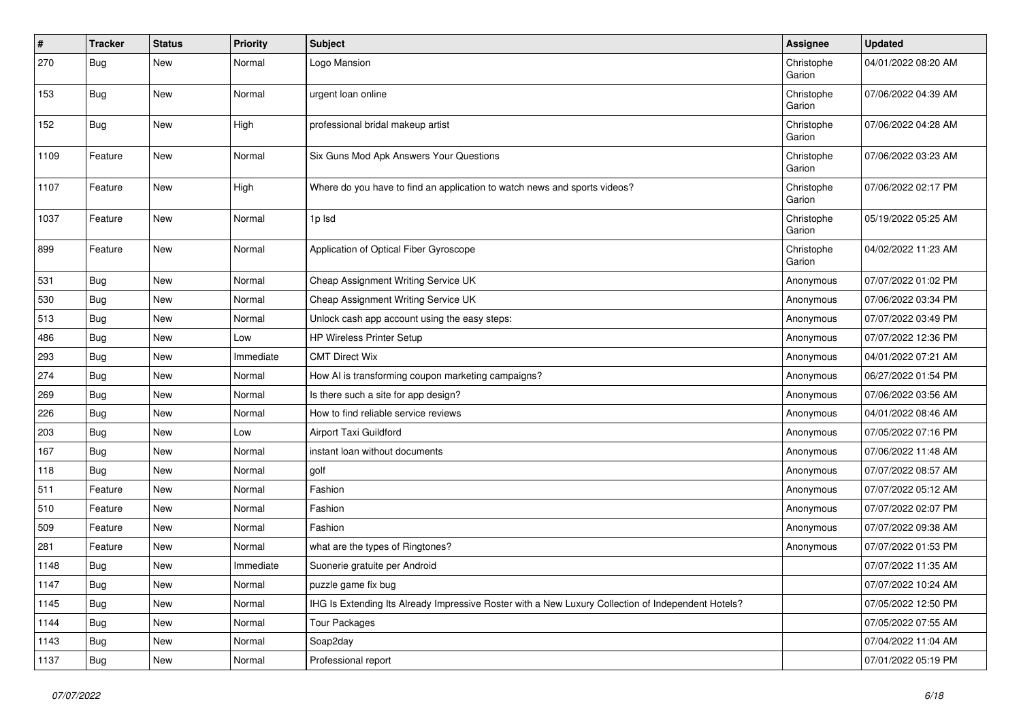| #    | <b>Tracker</b> | <b>Status</b> | <b>Priority</b> | <b>Subject</b>                                                                                     | <b>Assignee</b>      | <b>Updated</b>      |
|------|----------------|---------------|-----------------|----------------------------------------------------------------------------------------------------|----------------------|---------------------|
| 270  | <b>Bug</b>     | New           | Normal          | Logo Mansion                                                                                       | Christophe<br>Garion | 04/01/2022 08:20 AM |
| 153  | <b>Bug</b>     | <b>New</b>    | Normal          | urgent loan online                                                                                 | Christophe<br>Garion | 07/06/2022 04:39 AM |
| 152  | <b>Bug</b>     | <b>New</b>    | High            | professional bridal makeup artist                                                                  | Christophe<br>Garion | 07/06/2022 04:28 AM |
| 1109 | Feature        | <b>New</b>    | Normal          | Six Guns Mod Apk Answers Your Questions                                                            | Christophe<br>Garion | 07/06/2022 03:23 AM |
| 1107 | Feature        | <b>New</b>    | High            | Where do you have to find an application to watch news and sports videos?                          | Christophe<br>Garion | 07/06/2022 02:17 PM |
| 1037 | Feature        | <b>New</b>    | Normal          | 1p lsd                                                                                             | Christophe<br>Garion | 05/19/2022 05:25 AM |
| 899  | Feature        | <b>New</b>    | Normal          | Application of Optical Fiber Gyroscope                                                             | Christophe<br>Garion | 04/02/2022 11:23 AM |
| 531  | Bug            | <b>New</b>    | Normal          | Cheap Assignment Writing Service UK                                                                | Anonymous            | 07/07/2022 01:02 PM |
| 530  | Bug            | <b>New</b>    | Normal          | Cheap Assignment Writing Service UK                                                                | Anonymous            | 07/06/2022 03:34 PM |
| 513  | Bug            | New           | Normal          | Unlock cash app account using the easy steps:                                                      | Anonymous            | 07/07/2022 03:49 PM |
| 486  | Bug            | <b>New</b>    | Low             | HP Wireless Printer Setup                                                                          | Anonymous            | 07/07/2022 12:36 PM |
| 293  | <b>Bug</b>     | New           | Immediate       | <b>CMT Direct Wix</b>                                                                              | Anonymous            | 04/01/2022 07:21 AM |
| 274  | Bug            | New           | Normal          | How AI is transforming coupon marketing campaigns?                                                 | Anonymous            | 06/27/2022 01:54 PM |
| 269  | Bug            | <b>New</b>    | Normal          | Is there such a site for app design?                                                               | Anonymous            | 07/06/2022 03:56 AM |
| 226  | <b>Bug</b>     | New           | Normal          | How to find reliable service reviews                                                               | Anonymous            | 04/01/2022 08:46 AM |
| 203  | Bug            | New           | Low             | Airport Taxi Guildford                                                                             | Anonymous            | 07/05/2022 07:16 PM |
| 167  | Bug            | <b>New</b>    | Normal          | instant loan without documents                                                                     | Anonymous            | 07/06/2022 11:48 AM |
| 118  | <b>Bug</b>     | New           | Normal          | golf                                                                                               | Anonymous            | 07/07/2022 08:57 AM |
| 511  | Feature        | <b>New</b>    | Normal          | Fashion                                                                                            | Anonymous            | 07/07/2022 05:12 AM |
| 510  | Feature        | New           | Normal          | Fashion                                                                                            | Anonymous            | 07/07/2022 02:07 PM |
| 509  | Feature        | New           | Normal          | Fashion                                                                                            | Anonymous            | 07/07/2022 09:38 AM |
| 281  | Feature        | New           | Normal          | what are the types of Ringtones?                                                                   | Anonymous            | 07/07/2022 01:53 PM |
| 1148 | Bug            | New           | Immediate       | Suonerie gratuite per Android                                                                      |                      | 07/07/2022 11:35 AM |
| 1147 | Bug            | New           | Normal          | puzzle game fix bug                                                                                |                      | 07/07/2022 10:24 AM |
| 1145 | <b>Bug</b>     | New           | Normal          | IHG Is Extending Its Already Impressive Roster with a New Luxury Collection of Independent Hotels? |                      | 07/05/2022 12:50 PM |
| 1144 | <b>Bug</b>     | <b>New</b>    | Normal          | <b>Tour Packages</b>                                                                               |                      | 07/05/2022 07:55 AM |
| 1143 | Bug            | New           | Normal          | Soap2day                                                                                           |                      | 07/04/2022 11:04 AM |
| 1137 | <b>Bug</b>     | New           | Normal          | Professional report                                                                                |                      | 07/01/2022 05:19 PM |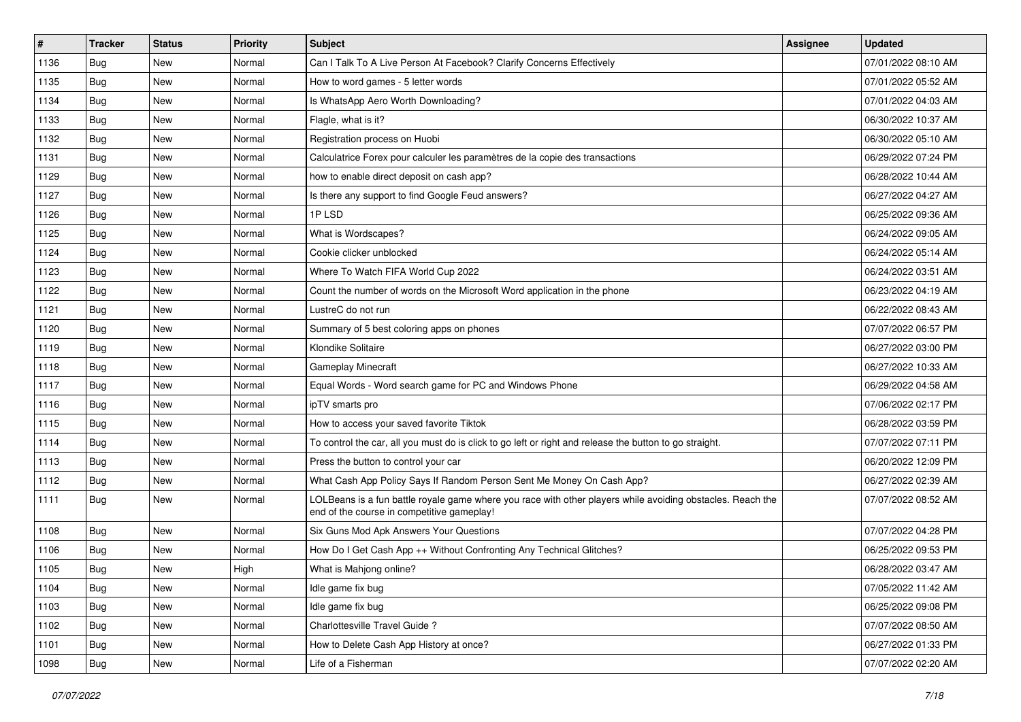| $\pmb{\sharp}$ | <b>Tracker</b> | <b>Status</b> | <b>Priority</b> | <b>Subject</b>                                                                                                                                           | Assignee | <b>Updated</b>      |
|----------------|----------------|---------------|-----------------|----------------------------------------------------------------------------------------------------------------------------------------------------------|----------|---------------------|
| 1136           | Bug            | New           | Normal          | Can I Talk To A Live Person At Facebook? Clarify Concerns Effectively                                                                                    |          | 07/01/2022 08:10 AM |
| 1135           | Bug            | New           | Normal          | How to word games - 5 letter words                                                                                                                       |          | 07/01/2022 05:52 AM |
| 1134           | Bug            | New           | Normal          | Is WhatsApp Aero Worth Downloading?                                                                                                                      |          | 07/01/2022 04:03 AM |
| 1133           | Bug            | <b>New</b>    | Normal          | Flagle, what is it?                                                                                                                                      |          | 06/30/2022 10:37 AM |
| 1132           | Bug            | <b>New</b>    | Normal          | Registration process on Huobi                                                                                                                            |          | 06/30/2022 05:10 AM |
| 1131           | Bug            | New           | Normal          | Calculatrice Forex pour calculer les paramètres de la copie des transactions                                                                             |          | 06/29/2022 07:24 PM |
| 1129           | Bug            | New           | Normal          | how to enable direct deposit on cash app?                                                                                                                |          | 06/28/2022 10:44 AM |
| 1127           | Bug            | New           | Normal          | Is there any support to find Google Feud answers?                                                                                                        |          | 06/27/2022 04:27 AM |
| 1126           | Bug            | New           | Normal          | 1PLSD                                                                                                                                                    |          | 06/25/2022 09:36 AM |
| 1125           | Bug            | <b>New</b>    | Normal          | What is Wordscapes?                                                                                                                                      |          | 06/24/2022 09:05 AM |
| 1124           | Bug            | New           | Normal          | Cookie clicker unblocked                                                                                                                                 |          | 06/24/2022 05:14 AM |
| 1123           | Bug            | New           | Normal          | Where To Watch FIFA World Cup 2022                                                                                                                       |          | 06/24/2022 03:51 AM |
| 1122           | Bug            | <b>New</b>    | Normal          | Count the number of words on the Microsoft Word application in the phone                                                                                 |          | 06/23/2022 04:19 AM |
| 1121           | Bug            | New           | Normal          | LustreC do not run                                                                                                                                       |          | 06/22/2022 08:43 AM |
| 1120           | Bug            | <b>New</b>    | Normal          | Summary of 5 best coloring apps on phones                                                                                                                |          | 07/07/2022 06:57 PM |
| 1119           | Bug            | New           | Normal          | Klondike Solitaire                                                                                                                                       |          | 06/27/2022 03:00 PM |
| 1118           | Bug            | <b>New</b>    | Normal          | <b>Gameplay Minecraft</b>                                                                                                                                |          | 06/27/2022 10:33 AM |
| 1117           | Bug            | New           | Normal          | Equal Words - Word search game for PC and Windows Phone                                                                                                  |          | 06/29/2022 04:58 AM |
| 1116           | Bug            | New           | Normal          | ipTV smarts pro                                                                                                                                          |          | 07/06/2022 02:17 PM |
| 1115           | Bug            | New           | Normal          | How to access your saved favorite Tiktok                                                                                                                 |          | 06/28/2022 03:59 PM |
| 1114           | Bug            | New           | Normal          | To control the car, all you must do is click to go left or right and release the button to go straight.                                                  |          | 07/07/2022 07:11 PM |
| 1113           | Bug            | New           | Normal          | Press the button to control your car                                                                                                                     |          | 06/20/2022 12:09 PM |
| 1112           | Bug            | <b>New</b>    | Normal          | What Cash App Policy Says If Random Person Sent Me Money On Cash App?                                                                                    |          | 06/27/2022 02:39 AM |
| 1111           | Bug            | New           | Normal          | LOLBeans is a fun battle royale game where you race with other players while avoiding obstacles. Reach the<br>end of the course in competitive gameplay! |          | 07/07/2022 08:52 AM |
| 1108           | Bug            | <b>New</b>    | Normal          | Six Guns Mod Apk Answers Your Questions                                                                                                                  |          | 07/07/2022 04:28 PM |
| 1106           | Bug            | New           | Normal          | How Do I Get Cash App ++ Without Confronting Any Technical Glitches?                                                                                     |          | 06/25/2022 09:53 PM |
| 1105           | Bug            | <b>New</b>    | High            | What is Mahjong online?                                                                                                                                  |          | 06/28/2022 03:47 AM |
| 1104           | <b>Bug</b>     | New           | Normal          | Idle game fix bug                                                                                                                                        |          | 07/05/2022 11:42 AM |
| 1103           | Bug            | New           | Normal          | Idle game fix bug                                                                                                                                        |          | 06/25/2022 09:08 PM |
| 1102           | Bug            | New           | Normal          | Charlottesville Travel Guide?                                                                                                                            |          | 07/07/2022 08:50 AM |
| 1101           | Bug            | New           | Normal          | How to Delete Cash App History at once?                                                                                                                  |          | 06/27/2022 01:33 PM |
| 1098           | <b>Bug</b>     | New           | Normal          | Life of a Fisherman                                                                                                                                      |          | 07/07/2022 02:20 AM |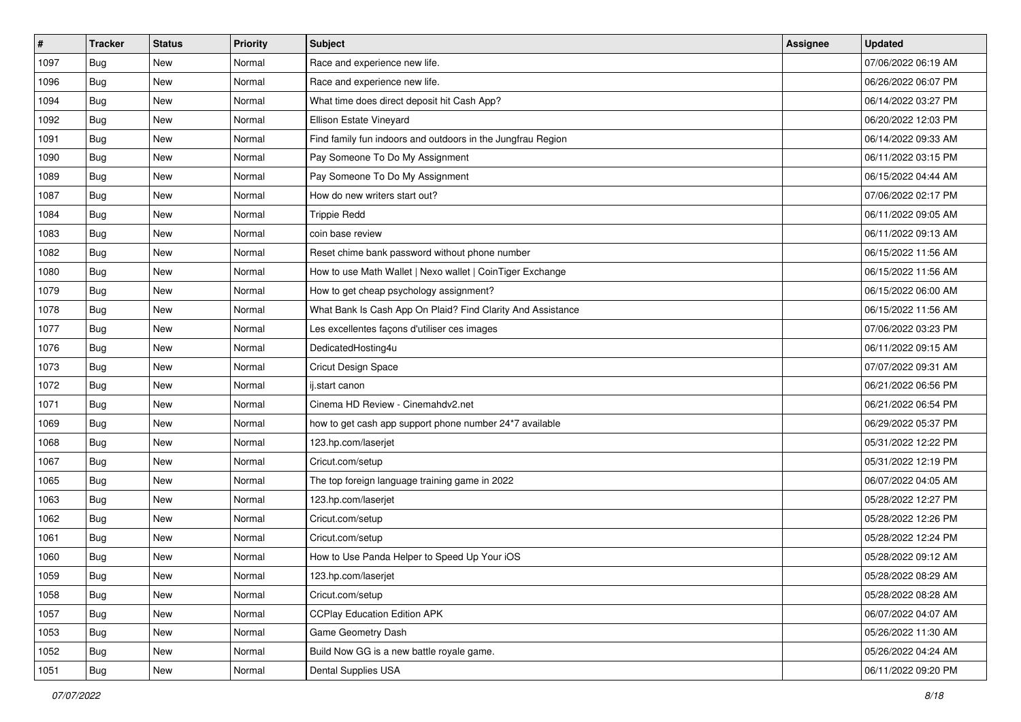| $\vert$ # | <b>Tracker</b> | <b>Status</b> | Priority | Subject                                                     | <b>Assignee</b> | <b>Updated</b>      |
|-----------|----------------|---------------|----------|-------------------------------------------------------------|-----------------|---------------------|
| 1097      | Bug            | New           | Normal   | Race and experience new life.                               |                 | 07/06/2022 06:19 AM |
| 1096      | Bug            | <b>New</b>    | Normal   | Race and experience new life.                               |                 | 06/26/2022 06:07 PM |
| 1094      | Bug            | New           | Normal   | What time does direct deposit hit Cash App?                 |                 | 06/14/2022 03:27 PM |
| 1092      | Bug            | <b>New</b>    | Normal   | Ellison Estate Vineyard                                     |                 | 06/20/2022 12:03 PM |
| 1091      | Bug            | <b>New</b>    | Normal   | Find family fun indoors and outdoors in the Jungfrau Region |                 | 06/14/2022 09:33 AM |
| 1090      | Bug            | <b>New</b>    | Normal   | Pay Someone To Do My Assignment                             |                 | 06/11/2022 03:15 PM |
| 1089      | Bug            | <b>New</b>    | Normal   | Pay Someone To Do My Assignment                             |                 | 06/15/2022 04:44 AM |
| 1087      | Bug            | New           | Normal   | How do new writers start out?                               |                 | 07/06/2022 02:17 PM |
| 1084      | Bug            | <b>New</b>    | Normal   | <b>Trippie Redd</b>                                         |                 | 06/11/2022 09:05 AM |
| 1083      | Bug            | <b>New</b>    | Normal   | coin base review                                            |                 | 06/11/2022 09:13 AM |
| 1082      | Bug            | New           | Normal   | Reset chime bank password without phone number              |                 | 06/15/2022 11:56 AM |
| 1080      | Bug            | New           | Normal   | How to use Math Wallet   Nexo wallet   CoinTiger Exchange   |                 | 06/15/2022 11:56 AM |
| 1079      | Bug            | <b>New</b>    | Normal   | How to get cheap psychology assignment?                     |                 | 06/15/2022 06:00 AM |
| 1078      | Bug            | <b>New</b>    | Normal   | What Bank Is Cash App On Plaid? Find Clarity And Assistance |                 | 06/15/2022 11:56 AM |
| 1077      | Bug            | <b>New</b>    | Normal   | Les excellentes façons d'utiliser ces images                |                 | 07/06/2022 03:23 PM |
| 1076      | Bug            | New           | Normal   | DedicatedHosting4u                                          |                 | 06/11/2022 09:15 AM |
| 1073      | Bug            | <b>New</b>    | Normal   | <b>Cricut Design Space</b>                                  |                 | 07/07/2022 09:31 AM |
| 1072      | Bug            | <b>New</b>    | Normal   | ij.start canon                                              |                 | 06/21/2022 06:56 PM |
| 1071      | Bug            | <b>New</b>    | Normal   | Cinema HD Review - Cinemahdv2.net                           |                 | 06/21/2022 06:54 PM |
| 1069      | Bug            | <b>New</b>    | Normal   | how to get cash app support phone number 24*7 available     |                 | 06/29/2022 05:37 PM |
| 1068      | Bug            | New           | Normal   | 123.hp.com/laserjet                                         |                 | 05/31/2022 12:22 PM |
| 1067      | Bug            | <b>New</b>    | Normal   | Cricut.com/setup                                            |                 | 05/31/2022 12:19 PM |
| 1065      | Bug            | <b>New</b>    | Normal   | The top foreign language training game in 2022              |                 | 06/07/2022 04:05 AM |
| 1063      | <b>Bug</b>     | <b>New</b>    | Normal   | 123.hp.com/laserjet                                         |                 | 05/28/2022 12:27 PM |
| 1062      | Bug            | <b>New</b>    | Normal   | Cricut.com/setup                                            |                 | 05/28/2022 12:26 PM |
| 1061      | Bug            | <b>New</b>    | Normal   | Cricut.com/setup                                            |                 | 05/28/2022 12:24 PM |
| 1060      | <b>Bug</b>     | New           | Normal   | How to Use Panda Helper to Speed Up Your iOS                |                 | 05/28/2022 09:12 AM |
| 1059      | <b>Bug</b>     | New           | Normal   | 123.hp.com/laserjet                                         |                 | 05/28/2022 08:29 AM |
| 1058      | Bug            | New           | Normal   | Cricut.com/setup                                            |                 | 05/28/2022 08:28 AM |
| 1057      | Bug            | New           | Normal   | <b>CCPlay Education Edition APK</b>                         |                 | 06/07/2022 04:07 AM |
| 1053      | <b>Bug</b>     | New           | Normal   | Game Geometry Dash                                          |                 | 05/26/2022 11:30 AM |
| 1052      | Bug            | New           | Normal   | Build Now GG is a new battle royale game.                   |                 | 05/26/2022 04:24 AM |
| 1051      | <b>Bug</b>     | New           | Normal   | Dental Supplies USA                                         |                 | 06/11/2022 09:20 PM |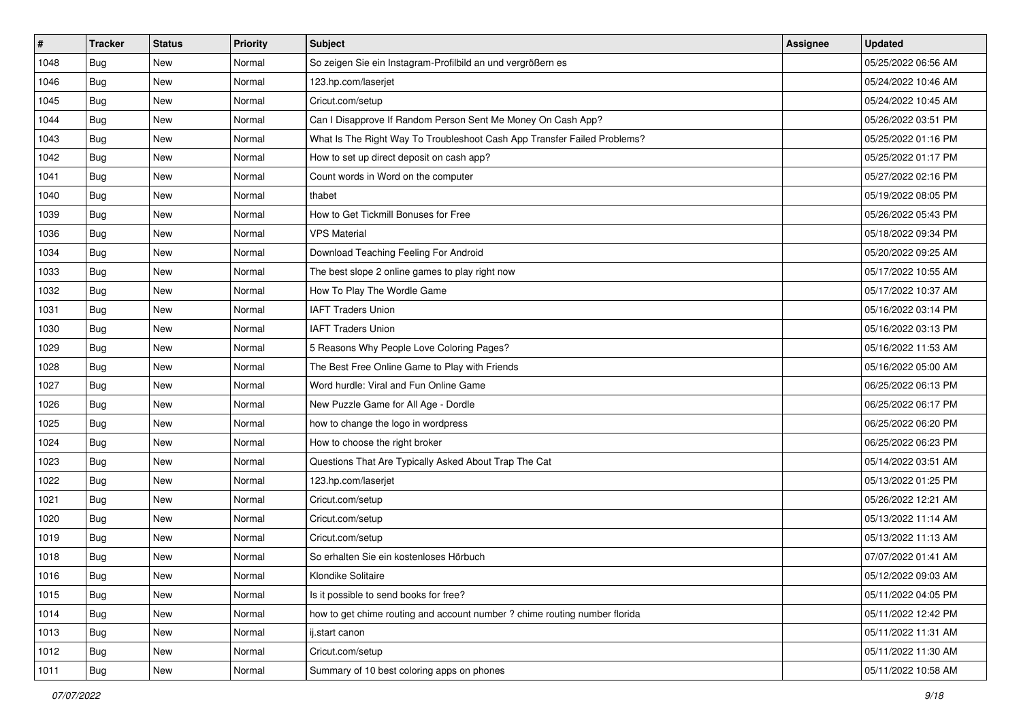| $\vert$ # | <b>Tracker</b> | <b>Status</b> | <b>Priority</b> | <b>Subject</b>                                                             | <b>Assignee</b> | <b>Updated</b>      |
|-----------|----------------|---------------|-----------------|----------------------------------------------------------------------------|-----------------|---------------------|
| 1048      | <b>Bug</b>     | New           | Normal          | So zeigen Sie ein Instagram-Profilbild an und vergrößern es                |                 | 05/25/2022 06:56 AM |
| 1046      | <b>Bug</b>     | New           | Normal          | 123.hp.com/laserjet                                                        |                 | 05/24/2022 10:46 AM |
| 1045      | Bug            | New           | Normal          | Cricut.com/setup                                                           |                 | 05/24/2022 10:45 AM |
| 1044      | Bug            | New           | Normal          | Can I Disapprove If Random Person Sent Me Money On Cash App?               |                 | 05/26/2022 03:51 PM |
| 1043      | Bug            | New           | Normal          | What Is The Right Way To Troubleshoot Cash App Transfer Failed Problems?   |                 | 05/25/2022 01:16 PM |
| 1042      | <b>Bug</b>     | New           | Normal          | How to set up direct deposit on cash app?                                  |                 | 05/25/2022 01:17 PM |
| 1041      | Bug            | New           | Normal          | Count words in Word on the computer                                        |                 | 05/27/2022 02:16 PM |
| 1040      | <b>Bug</b>     | New           | Normal          | thabet                                                                     |                 | 05/19/2022 08:05 PM |
| 1039      | Bug            | New           | Normal          | How to Get Tickmill Bonuses for Free                                       |                 | 05/26/2022 05:43 PM |
| 1036      | Bug            | <b>New</b>    | Normal          | <b>VPS Material</b>                                                        |                 | 05/18/2022 09:34 PM |
| 1034      | <b>Bug</b>     | New           | Normal          | Download Teaching Feeling For Android                                      |                 | 05/20/2022 09:25 AM |
| 1033      | Bug            | New           | Normal          | The best slope 2 online games to play right now                            |                 | 05/17/2022 10:55 AM |
| 1032      | Bug            | New           | Normal          | How To Play The Wordle Game                                                |                 | 05/17/2022 10:37 AM |
| 1031      | Bug            | New           | Normal          | <b>IAFT Traders Union</b>                                                  |                 | 05/16/2022 03:14 PM |
| 1030      | Bug            | <b>New</b>    | Normal          | <b>IAFT Traders Union</b>                                                  |                 | 05/16/2022 03:13 PM |
| 1029      | Bug            | New           | Normal          | 5 Reasons Why People Love Coloring Pages?                                  |                 | 05/16/2022 11:53 AM |
| 1028      | Bug            | <b>New</b>    | Normal          | The Best Free Online Game to Play with Friends                             |                 | 05/16/2022 05:00 AM |
| 1027      | Bug            | New           | Normal          | Word hurdle: Viral and Fun Online Game                                     |                 | 06/25/2022 06:13 PM |
| 1026      | <b>Bug</b>     | New           | Normal          | New Puzzle Game for All Age - Dordle                                       |                 | 06/25/2022 06:17 PM |
| 1025      | <b>Bug</b>     | New           | Normal          | how to change the logo in wordpress                                        |                 | 06/25/2022 06:20 PM |
| 1024      | <b>Bug</b>     | New           | Normal          | How to choose the right broker                                             |                 | 06/25/2022 06:23 PM |
| 1023      | Bug            | New           | Normal          | Questions That Are Typically Asked About Trap The Cat                      |                 | 05/14/2022 03:51 AM |
| 1022      | Bug            | <b>New</b>    | Normal          | 123.hp.com/laserjet                                                        |                 | 05/13/2022 01:25 PM |
| 1021      | <b>Bug</b>     | New           | Normal          | Cricut.com/setup                                                           |                 | 05/26/2022 12:21 AM |
| 1020      | <b>Bug</b>     | New           | Normal          | Cricut.com/setup                                                           |                 | 05/13/2022 11:14 AM |
| 1019      | Bug            | New           | Normal          | Cricut.com/setup                                                           |                 | 05/13/2022 11:13 AM |
| 1018      | Bug            | <b>New</b>    | Normal          | So erhalten Sie ein kostenloses Hörbuch                                    |                 | 07/07/2022 01:41 AM |
| 1016      | I Bug          | New           | Normal          | Klondike Solitaire                                                         |                 | 05/12/2022 09:03 AM |
| 1015      | Bug            | New           | Normal          | Is it possible to send books for free?                                     |                 | 05/11/2022 04:05 PM |
| 1014      | Bug            | New           | Normal          | how to get chime routing and account number ? chime routing number florida |                 | 05/11/2022 12:42 PM |
| 1013      | Bug            | New           | Normal          | ij.start canon                                                             |                 | 05/11/2022 11:31 AM |
| 1012      | <b>Bug</b>     | New           | Normal          | Cricut.com/setup                                                           |                 | 05/11/2022 11:30 AM |
| 1011      | <b>Bug</b>     | New           | Normal          | Summary of 10 best coloring apps on phones                                 |                 | 05/11/2022 10:58 AM |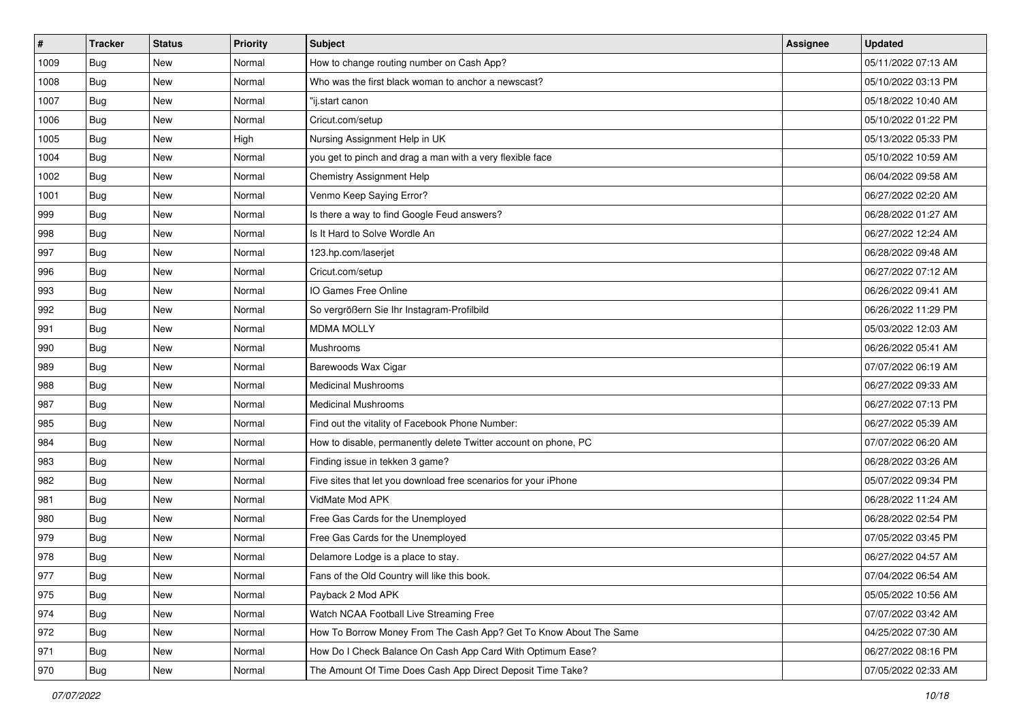| #    | <b>Tracker</b> | <b>Status</b> | Priority | <b>Subject</b>                                                    | <b>Assignee</b> | <b>Updated</b>      |
|------|----------------|---------------|----------|-------------------------------------------------------------------|-----------------|---------------------|
| 1009 | Bug            | New           | Normal   | How to change routing number on Cash App?                         |                 | 05/11/2022 07:13 AM |
| 1008 | Bug            | <b>New</b>    | Normal   | Who was the first black woman to anchor a newscast?               |                 | 05/10/2022 03:13 PM |
| 1007 | Bug            | New           | Normal   | "ij.start canon                                                   |                 | 05/18/2022 10:40 AM |
| 1006 | Bug            | <b>New</b>    | Normal   | Cricut.com/setup                                                  |                 | 05/10/2022 01:22 PM |
| 1005 | Bug            | <b>New</b>    | High     | Nursing Assignment Help in UK                                     |                 | 05/13/2022 05:33 PM |
| 1004 | Bug            | New           | Normal   | you get to pinch and drag a man with a very flexible face         |                 | 05/10/2022 10:59 AM |
| 1002 | Bug            | <b>New</b>    | Normal   | Chemistry Assignment Help                                         |                 | 06/04/2022 09:58 AM |
| 1001 | Bug            | New           | Normal   | Venmo Keep Saying Error?                                          |                 | 06/27/2022 02:20 AM |
| 999  | <b>Bug</b>     | <b>New</b>    | Normal   | Is there a way to find Google Feud answers?                       |                 | 06/28/2022 01:27 AM |
| 998  | Bug            | <b>New</b>    | Normal   | Is It Hard to Solve Wordle An                                     |                 | 06/27/2022 12:24 AM |
| 997  | Bug            | New           | Normal   | 123.hp.com/laserjet                                               |                 | 06/28/2022 09:48 AM |
| 996  | Bug            | <b>New</b>    | Normal   | Cricut.com/setup                                                  |                 | 06/27/2022 07:12 AM |
| 993  | Bug            | New           | Normal   | IO Games Free Online                                              |                 | 06/26/2022 09:41 AM |
| 992  | Bug            | <b>New</b>    | Normal   | So vergrößern Sie Ihr Instagram-Profilbild                        |                 | 06/26/2022 11:29 PM |
| 991  | Bug            | <b>New</b>    | Normal   | <b>MDMA MOLLY</b>                                                 |                 | 05/03/2022 12:03 AM |
| 990  | Bug            | New           | Normal   | Mushrooms                                                         |                 | 06/26/2022 05:41 AM |
| 989  | Bug            | <b>New</b>    | Normal   | Barewoods Wax Cigar                                               |                 | 07/07/2022 06:19 AM |
| 988  | Bug            | <b>New</b>    | Normal   | <b>Medicinal Mushrooms</b>                                        |                 | 06/27/2022 09:33 AM |
| 987  | Bug            | New           | Normal   | <b>Medicinal Mushrooms</b>                                        |                 | 06/27/2022 07:13 PM |
| 985  | Bug            | <b>New</b>    | Normal   | Find out the vitality of Facebook Phone Number:                   |                 | 06/27/2022 05:39 AM |
| 984  | Bug            | New           | Normal   | How to disable, permanently delete Twitter account on phone, PC   |                 | 07/07/2022 06:20 AM |
| 983  | Bug            | <b>New</b>    | Normal   | Finding issue in tekken 3 game?                                   |                 | 06/28/2022 03:26 AM |
| 982  | Bug            | <b>New</b>    | Normal   | Five sites that let you download free scenarios for your iPhone   |                 | 05/07/2022 09:34 PM |
| 981  | <b>Bug</b>     | <b>New</b>    | Normal   | VidMate Mod APK                                                   |                 | 06/28/2022 11:24 AM |
| 980  | Bug            | <b>New</b>    | Normal   | Free Gas Cards for the Unemployed                                 |                 | 06/28/2022 02:54 PM |
| 979  | Bug            | New           | Normal   | Free Gas Cards for the Unemployed                                 |                 | 07/05/2022 03:45 PM |
| 978  | Bug            | <b>New</b>    | Normal   | Delamore Lodge is a place to stay.                                |                 | 06/27/2022 04:57 AM |
| 977  | I Bug          | New           | Normal   | Fans of the Old Country will like this book.                      |                 | 07/04/2022 06:54 AM |
| 975  | Bug            | New           | Normal   | Payback 2 Mod APK                                                 |                 | 05/05/2022 10:56 AM |
| 974  | Bug            | New           | Normal   | Watch NCAA Football Live Streaming Free                           |                 | 07/07/2022 03:42 AM |
| 972  | Bug            | New           | Normal   | How To Borrow Money From The Cash App? Get To Know About The Same |                 | 04/25/2022 07:30 AM |
| 971  | <b>Bug</b>     | New           | Normal   | How Do I Check Balance On Cash App Card With Optimum Ease?        |                 | 06/27/2022 08:16 PM |
| 970  | <b>Bug</b>     | New           | Normal   | The Amount Of Time Does Cash App Direct Deposit Time Take?        |                 | 07/05/2022 02:33 AM |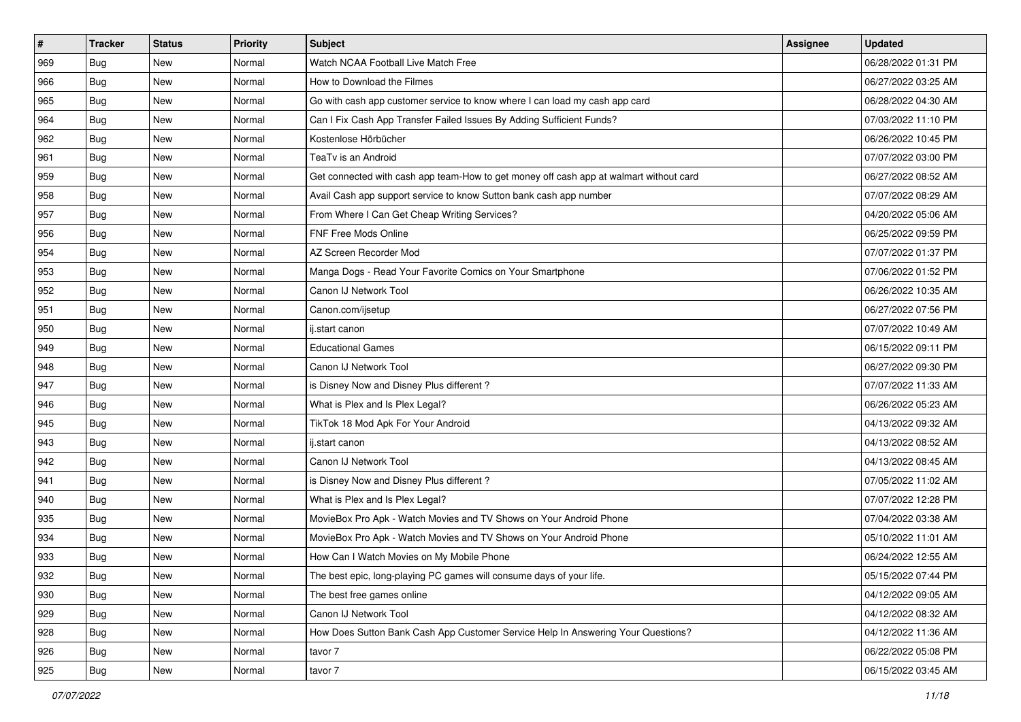| #   | <b>Tracker</b> | <b>Status</b> | <b>Priority</b> | <b>Subject</b>                                                                         | Assignee | <b>Updated</b>      |
|-----|----------------|---------------|-----------------|----------------------------------------------------------------------------------------|----------|---------------------|
| 969 | Bug            | New           | Normal          | Watch NCAA Football Live Match Free                                                    |          | 06/28/2022 01:31 PM |
| 966 | Bug            | <b>New</b>    | Normal          | How to Download the Filmes                                                             |          | 06/27/2022 03:25 AM |
| 965 | Bug            | <b>New</b>    | Normal          | Go with cash app customer service to know where I can load my cash app card            |          | 06/28/2022 04:30 AM |
| 964 | <b>Bug</b>     | <b>New</b>    | Normal          | Can I Fix Cash App Transfer Failed Issues By Adding Sufficient Funds?                  |          | 07/03/2022 11:10 PM |
| 962 | Bug            | <b>New</b>    | Normal          | Kostenlose Hörbücher                                                                   |          | 06/26/2022 10:45 PM |
| 961 | Bug            | <b>New</b>    | Normal          | TeaTv is an Android                                                                    |          | 07/07/2022 03:00 PM |
| 959 | Bug            | <b>New</b>    | Normal          | Get connected with cash app team-How to get money off cash app at walmart without card |          | 06/27/2022 08:52 AM |
| 958 | Bug            | <b>New</b>    | Normal          | Avail Cash app support service to know Sutton bank cash app number                     |          | 07/07/2022 08:29 AM |
| 957 | Bug            | <b>New</b>    | Normal          | From Where I Can Get Cheap Writing Services?                                           |          | 04/20/2022 05:06 AM |
| 956 | Bug            | <b>New</b>    | Normal          | FNF Free Mods Online                                                                   |          | 06/25/2022 09:59 PM |
| 954 | Bug            | <b>New</b>    | Normal          | AZ Screen Recorder Mod                                                                 |          | 07/07/2022 01:37 PM |
| 953 | <b>Bug</b>     | <b>New</b>    | Normal          | Manga Dogs - Read Your Favorite Comics on Your Smartphone                              |          | 07/06/2022 01:52 PM |
| 952 | Bug            | <b>New</b>    | Normal          | Canon IJ Network Tool                                                                  |          | 06/26/2022 10:35 AM |
| 951 | <b>Bug</b>     | <b>New</b>    | Normal          | Canon.com/ijsetup                                                                      |          | 06/27/2022 07:56 PM |
| 950 | Bug            | <b>New</b>    | Normal          | ij.start canon                                                                         |          | 07/07/2022 10:49 AM |
| 949 | Bug            | New           | Normal          | <b>Educational Games</b>                                                               |          | 06/15/2022 09:11 PM |
| 948 | <b>Bug</b>     | <b>New</b>    | Normal          | Canon IJ Network Tool                                                                  |          | 06/27/2022 09:30 PM |
| 947 | Bug            | <b>New</b>    | Normal          | is Disney Now and Disney Plus different?                                               |          | 07/07/2022 11:33 AM |
| 946 | Bug            | <b>New</b>    | Normal          | What is Plex and Is Plex Legal?                                                        |          | 06/26/2022 05:23 AM |
| 945 | <b>Bug</b>     | <b>New</b>    | Normal          | TikTok 18 Mod Apk For Your Android                                                     |          | 04/13/2022 09:32 AM |
| 943 | Bug            | <b>New</b>    | Normal          | ij.start canon                                                                         |          | 04/13/2022 08:52 AM |
| 942 | Bug            | <b>New</b>    | Normal          | Canon IJ Network Tool                                                                  |          | 04/13/2022 08:45 AM |
| 941 | Bug            | <b>New</b>    | Normal          | is Disney Now and Disney Plus different?                                               |          | 07/05/2022 11:02 AM |
| 940 | <b>Bug</b>     | <b>New</b>    | Normal          | What is Plex and Is Plex Legal?                                                        |          | 07/07/2022 12:28 PM |
| 935 | <b>Bug</b>     | <b>New</b>    | Normal          | MovieBox Pro Apk - Watch Movies and TV Shows on Your Android Phone                     |          | 07/04/2022 03:38 AM |
| 934 | Bug            | <b>New</b>    | Normal          | MovieBox Pro Apk - Watch Movies and TV Shows on Your Android Phone                     |          | 05/10/2022 11:01 AM |
| 933 | <b>Bug</b>     | New           | Normal          | How Can I Watch Movies on My Mobile Phone                                              |          | 06/24/2022 12:55 AM |
| 932 | <b>Bug</b>     | New           | Normal          | The best epic, long-playing PC games will consume days of your life.                   |          | 05/15/2022 07:44 PM |
| 930 | Bug            | New           | Normal          | The best free games online                                                             |          | 04/12/2022 09:05 AM |
| 929 | Bug            | New           | Normal          | Canon IJ Network Tool                                                                  |          | 04/12/2022 08:32 AM |
| 928 | Bug            | New           | Normal          | How Does Sutton Bank Cash App Customer Service Help In Answering Your Questions?       |          | 04/12/2022 11:36 AM |
| 926 | <b>Bug</b>     | New           | Normal          | tavor 7                                                                                |          | 06/22/2022 05:08 PM |
| 925 | <b>Bug</b>     | New           | Normal          | tavor 7                                                                                |          | 06/15/2022 03:45 AM |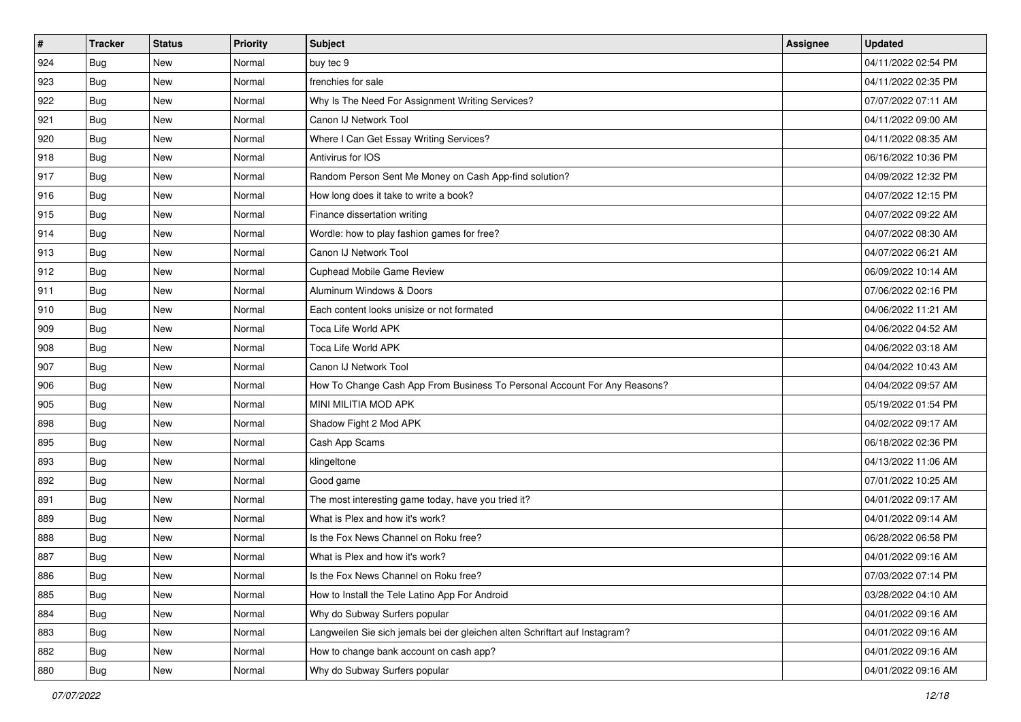| #   | <b>Tracker</b> | <b>Status</b> | Priority | Subject                                                                     | <b>Assignee</b> | <b>Updated</b>      |
|-----|----------------|---------------|----------|-----------------------------------------------------------------------------|-----------------|---------------------|
| 924 | <b>Bug</b>     | New           | Normal   | buy tec 9                                                                   |                 | 04/11/2022 02:54 PM |
| 923 | Bug            | <b>New</b>    | Normal   | frenchies for sale                                                          |                 | 04/11/2022 02:35 PM |
| 922 | <b>Bug</b>     | New           | Normal   | Why Is The Need For Assignment Writing Services?                            |                 | 07/07/2022 07:11 AM |
| 921 | Bug            | <b>New</b>    | Normal   | Canon IJ Network Tool                                                       |                 | 04/11/2022 09:00 AM |
| 920 | Bug            | <b>New</b>    | Normal   | Where I Can Get Essay Writing Services?                                     |                 | 04/11/2022 08:35 AM |
| 918 | Bug            | <b>New</b>    | Normal   | Antivirus for IOS                                                           |                 | 06/16/2022 10:36 PM |
| 917 | <b>Bug</b>     | <b>New</b>    | Normal   | Random Person Sent Me Money on Cash App-find solution?                      |                 | 04/09/2022 12:32 PM |
| 916 | Bug            | New           | Normal   | How long does it take to write a book?                                      |                 | 04/07/2022 12:15 PM |
| 915 | Bug            | <b>New</b>    | Normal   | Finance dissertation writing                                                |                 | 04/07/2022 09:22 AM |
| 914 | Bug            | <b>New</b>    | Normal   | Wordle: how to play fashion games for free?                                 |                 | 04/07/2022 08:30 AM |
| 913 | Bug            | New           | Normal   | Canon IJ Network Tool                                                       |                 | 04/07/2022 06:21 AM |
| 912 | Bug            | New           | Normal   | <b>Cuphead Mobile Game Review</b>                                           |                 | 06/09/2022 10:14 AM |
| 911 | Bug            | <b>New</b>    | Normal   | Aluminum Windows & Doors                                                    |                 | 07/06/2022 02:16 PM |
| 910 | Bug            | <b>New</b>    | Normal   | Each content looks unisize or not formated                                  |                 | 04/06/2022 11:21 AM |
| 909 | Bug            | <b>New</b>    | Normal   | Toca Life World APK                                                         |                 | 04/06/2022 04:52 AM |
| 908 | <b>Bug</b>     | New           | Normal   | Toca Life World APK                                                         |                 | 04/06/2022 03:18 AM |
| 907 | Bug            | <b>New</b>    | Normal   | Canon IJ Network Tool                                                       |                 | 04/04/2022 10:43 AM |
| 906 | <b>Bug</b>     | New           | Normal   | How To Change Cash App From Business To Personal Account For Any Reasons?   |                 | 04/04/2022 09:57 AM |
| 905 | Bug            | <b>New</b>    | Normal   | MINI MILITIA MOD APK                                                        |                 | 05/19/2022 01:54 PM |
| 898 | Bug            | New           | Normal   | Shadow Fight 2 Mod APK                                                      |                 | 04/02/2022 09:17 AM |
| 895 | Bug            | New           | Normal   | Cash App Scams                                                              |                 | 06/18/2022 02:36 PM |
| 893 | Bug            | <b>New</b>    | Normal   | klingeltone                                                                 |                 | 04/13/2022 11:06 AM |
| 892 | Bug            | <b>New</b>    | Normal   | Good game                                                                   |                 | 07/01/2022 10:25 AM |
| 891 | <b>Bug</b>     | <b>New</b>    | Normal   | The most interesting game today, have you tried it?                         |                 | 04/01/2022 09:17 AM |
| 889 | Bug            | <b>New</b>    | Normal   | What is Plex and how it's work?                                             |                 | 04/01/2022 09:14 AM |
| 888 | Bug            | <b>New</b>    | Normal   | Is the Fox News Channel on Roku free?                                       |                 | 06/28/2022 06:58 PM |
| 887 | <b>Bug</b>     | New           | Normal   | What is Plex and how it's work?                                             |                 | 04/01/2022 09:16 AM |
| 886 | <b>Bug</b>     | New           | Normal   | Is the Fox News Channel on Roku free?                                       |                 | 07/03/2022 07:14 PM |
| 885 | Bug            | New           | Normal   | How to Install the Tele Latino App For Android                              |                 | 03/28/2022 04:10 AM |
| 884 | Bug            | New           | Normal   | Why do Subway Surfers popular                                               |                 | 04/01/2022 09:16 AM |
| 883 | Bug            | New           | Normal   | Langweilen Sie sich jemals bei der gleichen alten Schriftart auf Instagram? |                 | 04/01/2022 09:16 AM |
| 882 | <b>Bug</b>     | New           | Normal   | How to change bank account on cash app?                                     |                 | 04/01/2022 09:16 AM |
| 880 | <b>Bug</b>     | New           | Normal   | Why do Subway Surfers popular                                               |                 | 04/01/2022 09:16 AM |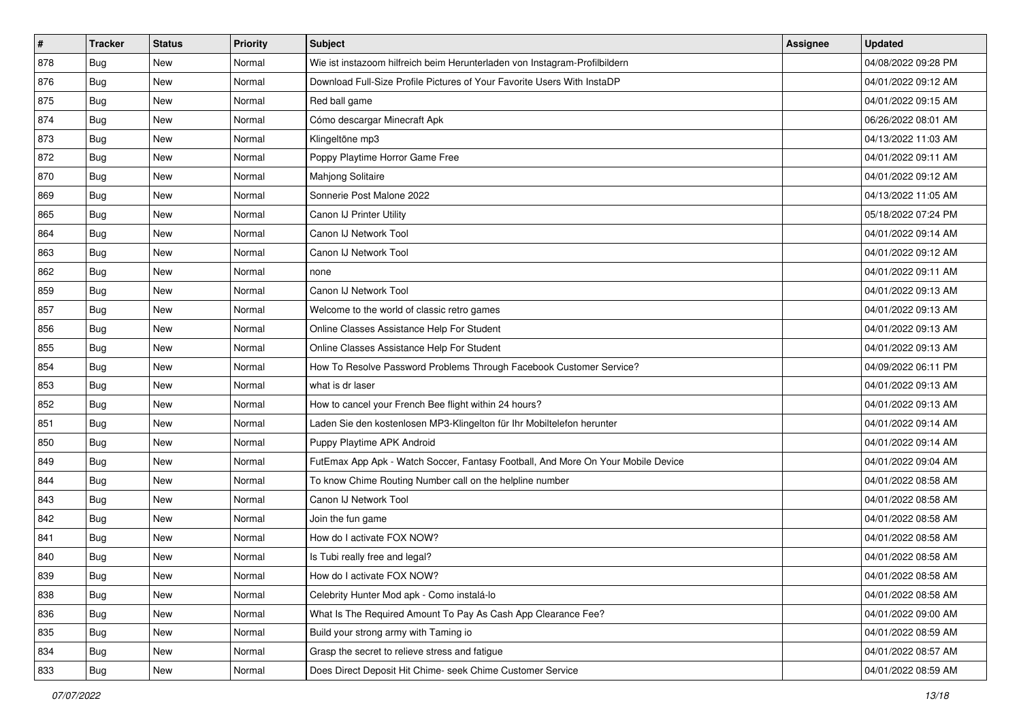| #   | <b>Tracker</b> | <b>Status</b> | Priority | Subject                                                                          | <b>Assignee</b> | <b>Updated</b>      |
|-----|----------------|---------------|----------|----------------------------------------------------------------------------------|-----------------|---------------------|
| 878 | <b>Bug</b>     | New           | Normal   | Wie ist instazoom hilfreich beim Herunterladen von Instagram-Profilbildern       |                 | 04/08/2022 09:28 PM |
| 876 | Bug            | <b>New</b>    | Normal   | Download Full-Size Profile Pictures of Your Favorite Users With InstaDP          |                 | 04/01/2022 09:12 AM |
| 875 | <b>Bug</b>     | New           | Normal   | Red ball game                                                                    |                 | 04/01/2022 09:15 AM |
| 874 | Bug            | <b>New</b>    | Normal   | Cómo descargar Minecraft Apk                                                     |                 | 06/26/2022 08:01 AM |
| 873 | Bug            | <b>New</b>    | Normal   | Klingeltöne mp3                                                                  |                 | 04/13/2022 11:03 AM |
| 872 | Bug            | <b>New</b>    | Normal   | Poppy Playtime Horror Game Free                                                  |                 | 04/01/2022 09:11 AM |
| 870 | Bug            | <b>New</b>    | Normal   | Mahjong Solitaire                                                                |                 | 04/01/2022 09:12 AM |
| 869 | Bug            | New           | Normal   | Sonnerie Post Malone 2022                                                        |                 | 04/13/2022 11:05 AM |
| 865 | Bug            | <b>New</b>    | Normal   | Canon IJ Printer Utility                                                         |                 | 05/18/2022 07:24 PM |
| 864 | Bug            | <b>New</b>    | Normal   | Canon IJ Network Tool                                                            |                 | 04/01/2022 09:14 AM |
| 863 | Bug            | New           | Normal   | Canon IJ Network Tool                                                            |                 | 04/01/2022 09:12 AM |
| 862 | Bug            | <b>New</b>    | Normal   | none                                                                             |                 | 04/01/2022 09:11 AM |
| 859 | Bug            | <b>New</b>    | Normal   | Canon IJ Network Tool                                                            |                 | 04/01/2022 09:13 AM |
| 857 | Bug            | <b>New</b>    | Normal   | Welcome to the world of classic retro games                                      |                 | 04/01/2022 09:13 AM |
| 856 | Bug            | <b>New</b>    | Normal   | Online Classes Assistance Help For Student                                       |                 | 04/01/2022 09:13 AM |
| 855 | Bug            | New           | Normal   | Online Classes Assistance Help For Student                                       |                 | 04/01/2022 09:13 AM |
| 854 | Bug            | <b>New</b>    | Normal   | How To Resolve Password Problems Through Facebook Customer Service?              |                 | 04/09/2022 06:11 PM |
| 853 | Bug            | <b>New</b>    | Normal   | what is dr laser                                                                 |                 | 04/01/2022 09:13 AM |
| 852 | Bug            | New           | Normal   | How to cancel your French Bee flight within 24 hours?                            |                 | 04/01/2022 09:13 AM |
| 851 | Bug            | <b>New</b>    | Normal   | Laden Sie den kostenlosen MP3-Klingelton für Ihr Mobiltelefon herunter           |                 | 04/01/2022 09:14 AM |
| 850 | Bug            | New           | Normal   | Puppy Playtime APK Android                                                       |                 | 04/01/2022 09:14 AM |
| 849 | Bug            | <b>New</b>    | Normal   | FutEmax App Apk - Watch Soccer, Fantasy Football, And More On Your Mobile Device |                 | 04/01/2022 09:04 AM |
| 844 | Bug            | <b>New</b>    | Normal   | To know Chime Routing Number call on the helpline number                         |                 | 04/01/2022 08:58 AM |
| 843 | <b>Bug</b>     | <b>New</b>    | Normal   | Canon IJ Network Tool                                                            |                 | 04/01/2022 08:58 AM |
| 842 | Bug            | <b>New</b>    | Normal   | Join the fun game                                                                |                 | 04/01/2022 08:58 AM |
| 841 | Bug            | <b>New</b>    | Normal   | How do I activate FOX NOW?                                                       |                 | 04/01/2022 08:58 AM |
| 840 | <b>Bug</b>     | New           | Normal   | Is Tubi really free and legal?                                                   |                 | 04/01/2022 08:58 AM |
| 839 | <b>Bug</b>     | New           | Normal   | How do I activate FOX NOW?                                                       |                 | 04/01/2022 08:58 AM |
| 838 | Bug            | New           | Normal   | Celebrity Hunter Mod apk - Como instalá-lo                                       |                 | 04/01/2022 08:58 AM |
| 836 | Bug            | New           | Normal   | What Is The Required Amount To Pay As Cash App Clearance Fee?                    |                 | 04/01/2022 09:00 AM |
| 835 | Bug            | New           | Normal   | Build your strong army with Taming io                                            |                 | 04/01/2022 08:59 AM |
| 834 | <b>Bug</b>     | New           | Normal   | Grasp the secret to relieve stress and fatigue                                   |                 | 04/01/2022 08:57 AM |
| 833 | <b>Bug</b>     | New           | Normal   | Does Direct Deposit Hit Chime- seek Chime Customer Service                       |                 | 04/01/2022 08:59 AM |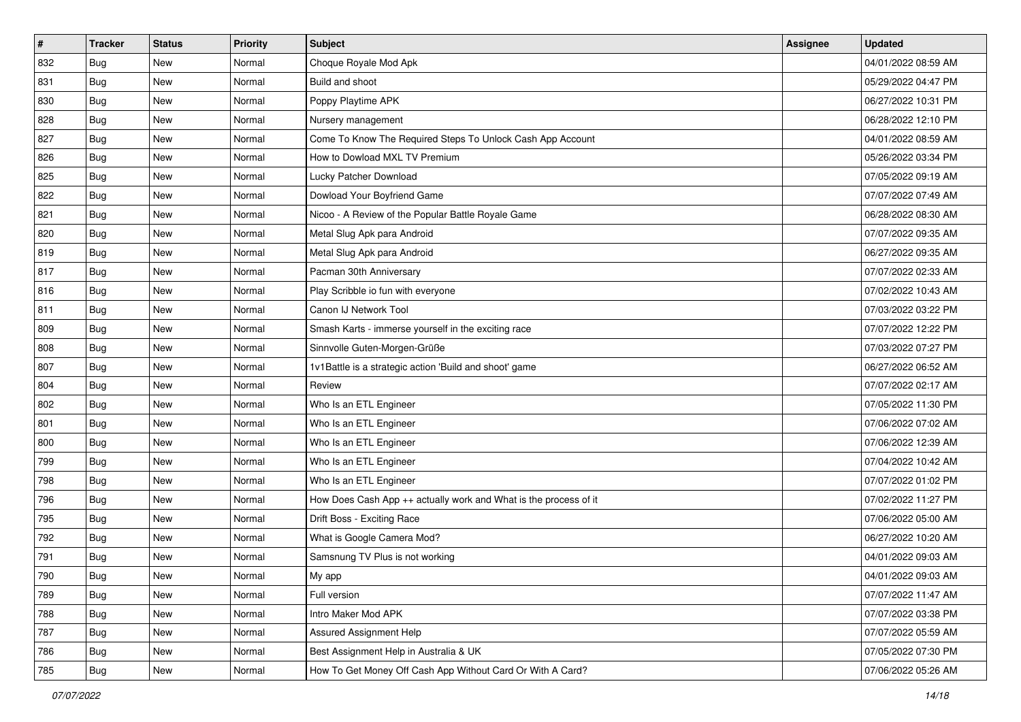| #   | <b>Tracker</b> | <b>Status</b> | Priority | Subject                                                          | <b>Assignee</b> | <b>Updated</b>      |
|-----|----------------|---------------|----------|------------------------------------------------------------------|-----------------|---------------------|
| 832 | Bug            | New           | Normal   | Choque Royale Mod Apk                                            |                 | 04/01/2022 08:59 AM |
| 831 | Bug            | <b>New</b>    | Normal   | Build and shoot                                                  |                 | 05/29/2022 04:47 PM |
| 830 | Bug            | New           | Normal   | Poppy Playtime APK                                               |                 | 06/27/2022 10:31 PM |
| 828 | Bug            | <b>New</b>    | Normal   | Nursery management                                               |                 | 06/28/2022 12:10 PM |
| 827 | Bug            | <b>New</b>    | Normal   | Come To Know The Required Steps To Unlock Cash App Account       |                 | 04/01/2022 08:59 AM |
| 826 | Bug            | <b>New</b>    | Normal   | How to Dowload MXL TV Premium                                    |                 | 05/26/2022 03:34 PM |
| 825 | Bug            | <b>New</b>    | Normal   | Lucky Patcher Download                                           |                 | 07/05/2022 09:19 AM |
| 822 | Bug            | New           | Normal   | Dowload Your Boyfriend Game                                      |                 | 07/07/2022 07:49 AM |
| 821 | Bug            | <b>New</b>    | Normal   | Nicoo - A Review of the Popular Battle Royale Game               |                 | 06/28/2022 08:30 AM |
| 820 | Bug            | <b>New</b>    | Normal   | Metal Slug Apk para Android                                      |                 | 07/07/2022 09:35 AM |
| 819 | Bug            | New           | Normal   | Metal Slug Apk para Android                                      |                 | 06/27/2022 09:35 AM |
| 817 | Bug            | New           | Normal   | Pacman 30th Anniversary                                          |                 | 07/07/2022 02:33 AM |
| 816 | Bug            | <b>New</b>    | Normal   | Play Scribble io fun with everyone                               |                 | 07/02/2022 10:43 AM |
| 811 | Bug            | <b>New</b>    | Normal   | Canon IJ Network Tool                                            |                 | 07/03/2022 03:22 PM |
| 809 | Bug            | <b>New</b>    | Normal   | Smash Karts - immerse yourself in the exciting race              |                 | 07/07/2022 12:22 PM |
| 808 | Bug            | New           | Normal   | Sinnvolle Guten-Morgen-Grüße                                     |                 | 07/03/2022 07:27 PM |
| 807 | Bug            | <b>New</b>    | Normal   | 1v1Battle is a strategic action 'Build and shoot' game           |                 | 06/27/2022 06:52 AM |
| 804 | Bug            | <b>New</b>    | Normal   | Review                                                           |                 | 07/07/2022 02:17 AM |
| 802 | Bug            | <b>New</b>    | Normal   | Who Is an ETL Engineer                                           |                 | 07/05/2022 11:30 PM |
| 801 | Bug            | New           | Normal   | Who Is an ETL Engineer                                           |                 | 07/06/2022 07:02 AM |
| 800 | Bug            | New           | Normal   | Who Is an ETL Engineer                                           |                 | 07/06/2022 12:39 AM |
| 799 | Bug            | <b>New</b>    | Normal   | Who Is an ETL Engineer                                           |                 | 07/04/2022 10:42 AM |
| 798 | Bug            | <b>New</b>    | Normal   | Who Is an ETL Engineer                                           |                 | 07/07/2022 01:02 PM |
| 796 | Bug            | <b>New</b>    | Normal   | How Does Cash App ++ actually work and What is the process of it |                 | 07/02/2022 11:27 PM |
| 795 | Bug            | <b>New</b>    | Normal   | Drift Boss - Exciting Race                                       |                 | 07/06/2022 05:00 AM |
| 792 | Bug            | <b>New</b>    | Normal   | What is Google Camera Mod?                                       |                 | 06/27/2022 10:20 AM |
| 791 | <b>Bug</b>     | New           | Normal   | Samsnung TV Plus is not working                                  |                 | 04/01/2022 09:03 AM |
| 790 | <b>Bug</b>     | New           | Normal   | My app                                                           |                 | 04/01/2022 09:03 AM |
| 789 | Bug            | New           | Normal   | Full version                                                     |                 | 07/07/2022 11:47 AM |
| 788 | Bug            | New           | Normal   | Intro Maker Mod APK                                              |                 | 07/07/2022 03:38 PM |
| 787 | Bug            | New           | Normal   | Assured Assignment Help                                          |                 | 07/07/2022 05:59 AM |
| 786 | <b>Bug</b>     | New           | Normal   | Best Assignment Help in Australia & UK                           |                 | 07/05/2022 07:30 PM |
| 785 | <b>Bug</b>     | New           | Normal   | How To Get Money Off Cash App Without Card Or With A Card?       |                 | 07/06/2022 05:26 AM |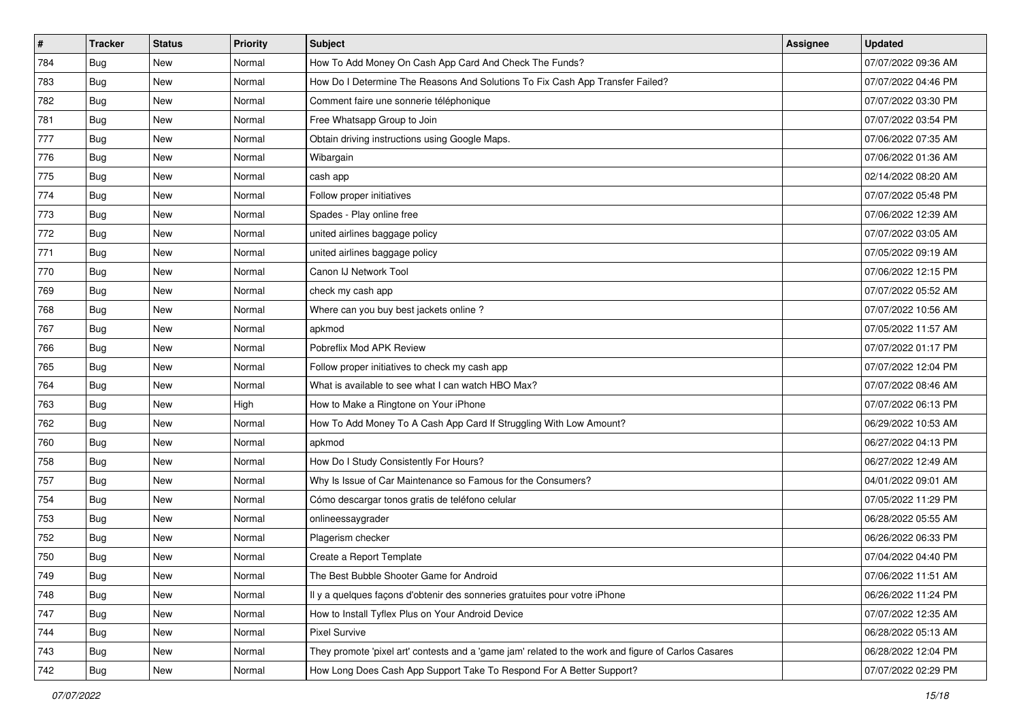| #   | <b>Tracker</b> | <b>Status</b> | <b>Priority</b> | <b>Subject</b>                                                                                      | Assignee | <b>Updated</b>      |
|-----|----------------|---------------|-----------------|-----------------------------------------------------------------------------------------------------|----------|---------------------|
| 784 | Bug            | New           | Normal          | How To Add Money On Cash App Card And Check The Funds?                                              |          | 07/07/2022 09:36 AM |
| 783 | Bug            | New           | Normal          | How Do I Determine The Reasons And Solutions To Fix Cash App Transfer Failed?                       |          | 07/07/2022 04:46 PM |
| 782 | Bug            | New           | Normal          | Comment faire une sonnerie téléphonique                                                             |          | 07/07/2022 03:30 PM |
| 781 | Bug            | <b>New</b>    | Normal          | Free Whatsapp Group to Join                                                                         |          | 07/07/2022 03:54 PM |
| 777 | Bug            | <b>New</b>    | Normal          | Obtain driving instructions using Google Maps.                                                      |          | 07/06/2022 07:35 AM |
| 776 | Bug            | New           | Normal          | Wibargain                                                                                           |          | 07/06/2022 01:36 AM |
| 775 | Bug            | New           | Normal          | cash app                                                                                            |          | 02/14/2022 08:20 AM |
| 774 | Bug            | New           | Normal          | Follow proper initiatives                                                                           |          | 07/07/2022 05:48 PM |
| 773 | Bug            | New           | Normal          | Spades - Play online free                                                                           |          | 07/06/2022 12:39 AM |
| 772 | Bug            | New           | Normal          | united airlines baggage policy                                                                      |          | 07/07/2022 03:05 AM |
| 771 | Bug            | New           | Normal          | united airlines baggage policy                                                                      |          | 07/05/2022 09:19 AM |
| 770 | Bug            | New           | Normal          | Canon IJ Network Tool                                                                               |          | 07/06/2022 12:15 PM |
| 769 | Bug            | New           | Normal          | check my cash app                                                                                   |          | 07/07/2022 05:52 AM |
| 768 | Bug            | New           | Normal          | Where can you buy best jackets online?                                                              |          | 07/07/2022 10:56 AM |
| 767 | Bug            | <b>New</b>    | Normal          | apkmod                                                                                              |          | 07/05/2022 11:57 AM |
| 766 | Bug            | New           | Normal          | Pobreflix Mod APK Review                                                                            |          | 07/07/2022 01:17 PM |
| 765 | Bug            | <b>New</b>    | Normal          | Follow proper initiatives to check my cash app                                                      |          | 07/07/2022 12:04 PM |
| 764 | Bug            | New           | Normal          | What is available to see what I can watch HBO Max?                                                  |          | 07/07/2022 08:46 AM |
| 763 | Bug            | New           | High            | How to Make a Ringtone on Your iPhone                                                               |          | 07/07/2022 06:13 PM |
| 762 | Bug            | New           | Normal          | How To Add Money To A Cash App Card If Struggling With Low Amount?                                  |          | 06/29/2022 10:53 AM |
| 760 | Bug            | New           | Normal          | apkmod                                                                                              |          | 06/27/2022 04:13 PM |
| 758 | Bug            | New           | Normal          | How Do I Study Consistently For Hours?                                                              |          | 06/27/2022 12:49 AM |
| 757 | Bug            | <b>New</b>    | Normal          | Why Is Issue of Car Maintenance so Famous for the Consumers?                                        |          | 04/01/2022 09:01 AM |
| 754 | Bug            | New           | Normal          | Cómo descargar tonos gratis de teléfono celular                                                     |          | 07/05/2022 11:29 PM |
| 753 | Bug            | New           | Normal          | onlineessaygrader                                                                                   |          | 06/28/2022 05:55 AM |
| 752 | Bug            | New           | Normal          | Plagerism checker                                                                                   |          | 06/26/2022 06:33 PM |
| 750 | <b>Bug</b>     | New           | Normal          | Create a Report Template                                                                            |          | 07/04/2022 04:40 PM |
| 749 | <b>Bug</b>     | New           | Normal          | The Best Bubble Shooter Game for Android                                                            |          | 07/06/2022 11:51 AM |
| 748 | Bug            | New           | Normal          | Il y a quelques façons d'obtenir des sonneries gratuites pour votre iPhone                          |          | 06/26/2022 11:24 PM |
| 747 | Bug            | New           | Normal          | How to Install Tyflex Plus on Your Android Device                                                   |          | 07/07/2022 12:35 AM |
| 744 | Bug            | New           | Normal          | Pixel Survive                                                                                       |          | 06/28/2022 05:13 AM |
| 743 | Bug            | New           | Normal          | They promote 'pixel art' contests and a 'game jam' related to the work and figure of Carlos Casares |          | 06/28/2022 12:04 PM |
| 742 | <b>Bug</b>     | New           | Normal          | How Long Does Cash App Support Take To Respond For A Better Support?                                |          | 07/07/2022 02:29 PM |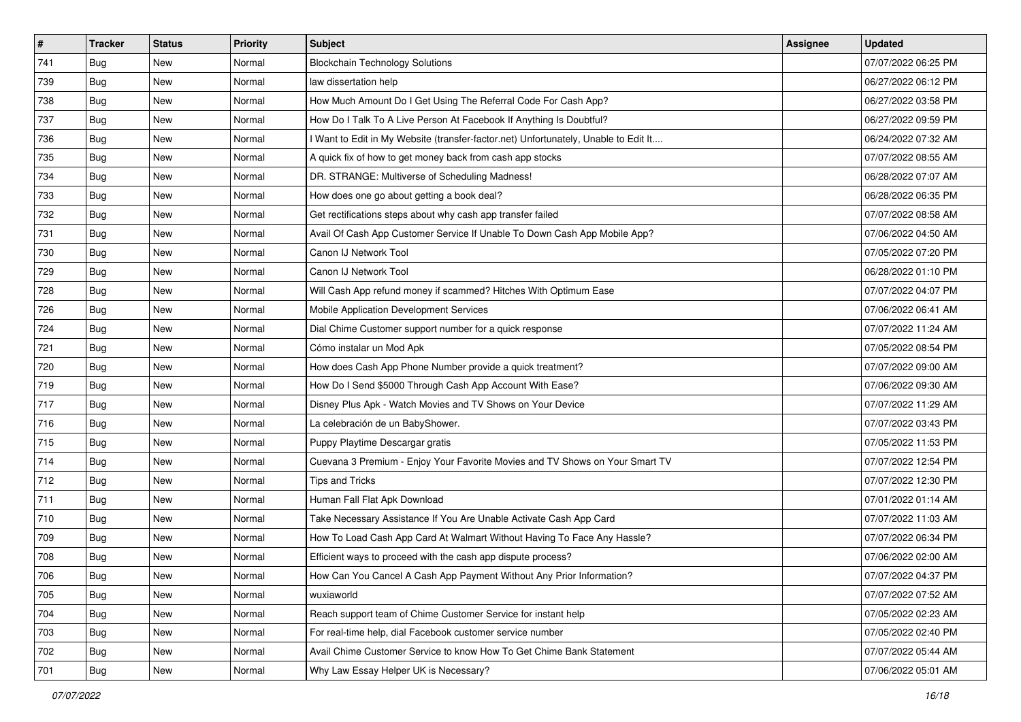| $\sharp$ | <b>Tracker</b> | <b>Status</b> | <b>Priority</b> | Subject                                                                             | <b>Assignee</b> | <b>Updated</b>      |
|----------|----------------|---------------|-----------------|-------------------------------------------------------------------------------------|-----------------|---------------------|
| 741      | Bug            | New           | Normal          | <b>Blockchain Technology Solutions</b>                                              |                 | 07/07/2022 06:25 PM |
| 739      | Bug            | New           | Normal          | law dissertation help                                                               |                 | 06/27/2022 06:12 PM |
| 738      | Bug            | New           | Normal          | How Much Amount Do I Get Using The Referral Code For Cash App?                      |                 | 06/27/2022 03:58 PM |
| 737      | Bug            | New           | Normal          | How Do I Talk To A Live Person At Facebook If Anything Is Doubtful?                 |                 | 06/27/2022 09:59 PM |
| 736      | Bug            | New           | Normal          | I Want to Edit in My Website (transfer-factor.net) Unfortunately, Unable to Edit It |                 | 06/24/2022 07:32 AM |
| 735      | Bug            | New           | Normal          | A quick fix of how to get money back from cash app stocks                           |                 | 07/07/2022 08:55 AM |
| 734      | Bug            | New           | Normal          | DR. STRANGE: Multiverse of Scheduling Madness!                                      |                 | 06/28/2022 07:07 AM |
| 733      | Bug            | New           | Normal          | How does one go about getting a book deal?                                          |                 | 06/28/2022 06:35 PM |
| 732      | Bug            | New           | Normal          | Get rectifications steps about why cash app transfer failed                         |                 | 07/07/2022 08:58 AM |
| 731      | Bug            | New           | Normal          | Avail Of Cash App Customer Service If Unable To Down Cash App Mobile App?           |                 | 07/06/2022 04:50 AM |
| 730      | Bug            | New           | Normal          | Canon IJ Network Tool                                                               |                 | 07/05/2022 07:20 PM |
| 729      | Bug            | New           | Normal          | Canon IJ Network Tool                                                               |                 | 06/28/2022 01:10 PM |
| 728      | Bug            | New           | Normal          | Will Cash App refund money if scammed? Hitches With Optimum Ease                    |                 | 07/07/2022 04:07 PM |
| 726      | Bug            | New           | Normal          | Mobile Application Development Services                                             |                 | 07/06/2022 06:41 AM |
| 724      | Bug            | New           | Normal          | Dial Chime Customer support number for a quick response                             |                 | 07/07/2022 11:24 AM |
| 721      | Bug            | New           | Normal          | Cómo instalar un Mod Apk                                                            |                 | 07/05/2022 08:54 PM |
| 720      | Bug            | <b>New</b>    | Normal          | How does Cash App Phone Number provide a quick treatment?                           |                 | 07/07/2022 09:00 AM |
| 719      | Bug            | <b>New</b>    | Normal          | How Do I Send \$5000 Through Cash App Account With Ease?                            |                 | 07/06/2022 09:30 AM |
| 717      | Bug            | New           | Normal          | Disney Plus Apk - Watch Movies and TV Shows on Your Device                          |                 | 07/07/2022 11:29 AM |
| 716      | Bug            | <b>New</b>    | Normal          | La celebración de un BabyShower.                                                    |                 | 07/07/2022 03:43 PM |
| 715      | Bug            | New           | Normal          | Puppy Playtime Descargar gratis                                                     |                 | 07/05/2022 11:53 PM |
| 714      | Bug            | New           | Normal          | Cuevana 3 Premium - Enjoy Your Favorite Movies and TV Shows on Your Smart TV        |                 | 07/07/2022 12:54 PM |
| 712      | Bug            | New           | Normal          | Tips and Tricks                                                                     |                 | 07/07/2022 12:30 PM |
| 711      | Bug            | New           | Normal          | Human Fall Flat Apk Download                                                        |                 | 07/01/2022 01:14 AM |
| 710      | Bug            | New           | Normal          | Take Necessary Assistance If You Are Unable Activate Cash App Card                  |                 | 07/07/2022 11:03 AM |
| 709      | Bug            | New           | Normal          | How To Load Cash App Card At Walmart Without Having To Face Any Hassle?             |                 | 07/07/2022 06:34 PM |
| 708      | Bug            | New           | Normal          | Efficient ways to proceed with the cash app dispute process?                        |                 | 07/06/2022 02:00 AM |
| 706      | <b>Bug</b>     | New           | Normal          | How Can You Cancel A Cash App Payment Without Any Prior Information?                |                 | 07/07/2022 04:37 PM |
| 705      | Bug            | New           | Normal          | wuxiaworld                                                                          |                 | 07/07/2022 07:52 AM |
| 704      | Bug            | New           | Normal          | Reach support team of Chime Customer Service for instant help                       |                 | 07/05/2022 02:23 AM |
| 703      | Bug            | New           | Normal          | For real-time help, dial Facebook customer service number                           |                 | 07/05/2022 02:40 PM |
| 702      | Bug            | New           | Normal          | Avail Chime Customer Service to know How To Get Chime Bank Statement                |                 | 07/07/2022 05:44 AM |
| 701      | <b>Bug</b>     | New           | Normal          | Why Law Essay Helper UK is Necessary?                                               |                 | 07/06/2022 05:01 AM |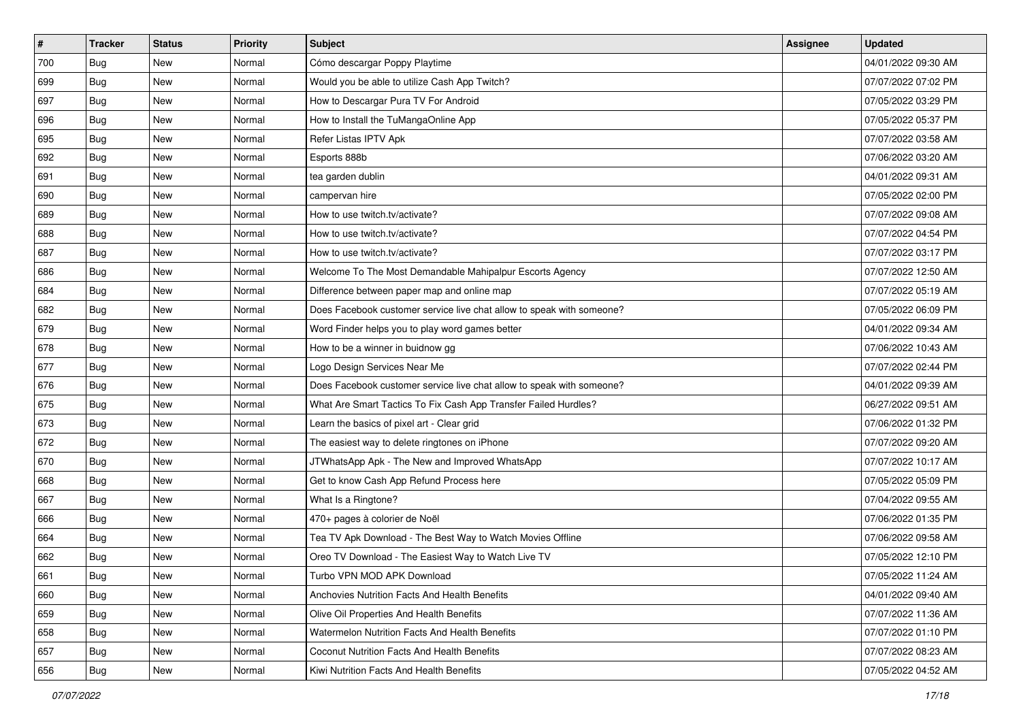| $\sharp$ | <b>Tracker</b> | <b>Status</b> | <b>Priority</b> | <b>Subject</b>                                                        | <b>Assignee</b> | <b>Updated</b>      |
|----------|----------------|---------------|-----------------|-----------------------------------------------------------------------|-----------------|---------------------|
| 700      | Bug            | New           | Normal          | Cómo descargar Poppy Playtime                                         |                 | 04/01/2022 09:30 AM |
| 699      | Bug            | New           | Normal          | Would you be able to utilize Cash App Twitch?                         |                 | 07/07/2022 07:02 PM |
| 697      | Bug            | New           | Normal          | How to Descargar Pura TV For Android                                  |                 | 07/05/2022 03:29 PM |
| 696      | Bug            | <b>New</b>    | Normal          | How to Install the TuMangaOnline App                                  |                 | 07/05/2022 05:37 PM |
| 695      | Bug            | <b>New</b>    | Normal          | Refer Listas IPTV Apk                                                 |                 | 07/07/2022 03:58 AM |
| 692      | Bug            | New           | Normal          | Esports 888b                                                          |                 | 07/06/2022 03:20 AM |
| 691      | Bug            | New           | Normal          | tea garden dublin                                                     |                 | 04/01/2022 09:31 AM |
| 690      | Bug            | New           | Normal          | campervan hire                                                        |                 | 07/05/2022 02:00 PM |
| 689      | Bug            | New           | Normal          | How to use twitch.tv/activate?                                        |                 | 07/07/2022 09:08 AM |
| 688      | Bug            | <b>New</b>    | Normal          | How to use twitch.tv/activate?                                        |                 | 07/07/2022 04:54 PM |
| 687      | <b>Bug</b>     | New           | Normal          | How to use twitch.tv/activate?                                        |                 | 07/07/2022 03:17 PM |
| 686      | Bug            | New           | Normal          | Welcome To The Most Demandable Mahipalpur Escorts Agency              |                 | 07/07/2022 12:50 AM |
| 684      | Bug            | New           | Normal          | Difference between paper map and online map                           |                 | 07/07/2022 05:19 AM |
| 682      | Bug            | New           | Normal          | Does Facebook customer service live chat allow to speak with someone? |                 | 07/05/2022 06:09 PM |
| 679      | Bug            | New           | Normal          | Word Finder helps you to play word games better                       |                 | 04/01/2022 09:34 AM |
| 678      | Bug            | New           | Normal          | How to be a winner in buidnow gg                                      |                 | 07/06/2022 10:43 AM |
| 677      | Bug            | New           | Normal          | Logo Design Services Near Me                                          |                 | 07/07/2022 02:44 PM |
| 676      | Bug            | <b>New</b>    | Normal          | Does Facebook customer service live chat allow to speak with someone? |                 | 04/01/2022 09:39 AM |
| 675      | Bug            | New           | Normal          | What Are Smart Tactics To Fix Cash App Transfer Failed Hurdles?       |                 | 06/27/2022 09:51 AM |
| 673      | Bug            | New           | Normal          | Learn the basics of pixel art - Clear grid                            |                 | 07/06/2022 01:32 PM |
| 672      | Bug            | New           | Normal          | The easiest way to delete ringtones on iPhone                         |                 | 07/07/2022 09:20 AM |
| 670      | Bug            | New           | Normal          | JTWhatsApp Apk - The New and Improved WhatsApp                        |                 | 07/07/2022 10:17 AM |
| 668      | <b>Bug</b>     | <b>New</b>    | Normal          | Get to know Cash App Refund Process here                              |                 | 07/05/2022 05:09 PM |
| 667      | <b>Bug</b>     | New           | Normal          | What Is a Ringtone?                                                   |                 | 07/04/2022 09:55 AM |
| 666      | Bug            | New           | Normal          | 470+ pages à colorier de Noël                                         |                 | 07/06/2022 01:35 PM |
| 664      | Bug            | New           | Normal          | Tea TV Apk Download - The Best Way to Watch Movies Offline            |                 | 07/06/2022 09:58 AM |
| 662      | <b>Bug</b>     | New           | Normal          | Oreo TV Download - The Easiest Way to Watch Live TV                   |                 | 07/05/2022 12:10 PM |
| 661      | Bug            | New           | Normal          | Turbo VPN MOD APK Download                                            |                 | 07/05/2022 11:24 AM |
| 660      | Bug            | New           | Normal          | Anchovies Nutrition Facts And Health Benefits                         |                 | 04/01/2022 09:40 AM |
| 659      | Bug            | New           | Normal          | Olive Oil Properties And Health Benefits                              |                 | 07/07/2022 11:36 AM |
| 658      | <b>Bug</b>     | New           | Normal          | Watermelon Nutrition Facts And Health Benefits                        |                 | 07/07/2022 01:10 PM |
| 657      | Bug            | New           | Normal          | Coconut Nutrition Facts And Health Benefits                           |                 | 07/07/2022 08:23 AM |
| 656      | <b>Bug</b>     | New           | Normal          | Kiwi Nutrition Facts And Health Benefits                              |                 | 07/05/2022 04:52 AM |